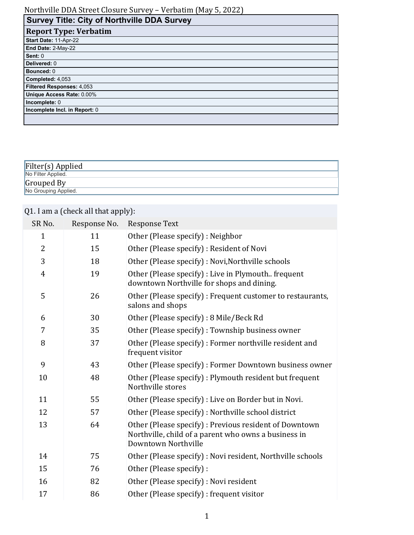| Northville DDA Street Closure Survey – Verbatim (May 5, 2022) |
|---------------------------------------------------------------|
| <b>Survey Title: City of Northville DDA Survey</b>            |
| <b>Report Type: Verbatim</b>                                  |
| Start Date: 11-Apr-22                                         |
| End Date: 2-May-22                                            |
| Sent: 0                                                       |
| Delivered: 0                                                  |
| <b>Bounced: 0</b>                                             |
| Completed: 4,053                                              |
| Filtered Responses: 4,053                                     |
| Unique Access Rate: 0.00%                                     |
| Incomplete: 0                                                 |
| Incomplete Incl. in Report: 0                                 |
|                                                               |

| Filter(s) Applied    |  |
|----------------------|--|
| No Filter Applied.   |  |
| Grouped By           |  |
| No Grouping Applied. |  |

## Q1. I am a (check all that apply):

| SR <sub>No.</sub> | Response No. | <b>Response Text</b>                                                                                                                  |
|-------------------|--------------|---------------------------------------------------------------------------------------------------------------------------------------|
| $\mathbf{1}$      | 11           | Other (Please specify) : Neighbor                                                                                                     |
| 2                 | 15           | Other (Please specify) : Resident of Novi                                                                                             |
| 3                 | 18           | Other (Please specify) : Novi, Northville schools                                                                                     |
| $\overline{4}$    | 19           | Other (Please specify) : Live in Plymouth frequent<br>downtown Northville for shops and dining.                                       |
| 5                 | 26           | Other (Please specify) : Frequent customer to restaurants,<br>salons and shops                                                        |
| 6                 | 30           | Other (Please specify) : 8 Mile/Beck Rd                                                                                               |
| 7                 | 35           | Other (Please specify) : Township business owner                                                                                      |
| 8                 | 37           | Other (Please specify) : Former northville resident and<br>frequent visitor                                                           |
| 9                 | 43           | Other (Please specify) : Former Downtown business owner                                                                               |
| 10                | 48           | Other (Please specify) : Plymouth resident but frequent<br>Northville stores                                                          |
| 11                | 55           | Other (Please specify) : Live on Border but in Novi.                                                                                  |
| 12                | 57           | Other (Please specify) : Northville school district                                                                                   |
| 13                | 64           | Other (Please specify) : Previous resident of Downtown<br>Northville, child of a parent who owns a business in<br>Downtown Northville |
| 14                | 75           | Other (Please specify) : Novi resident, Northville schools                                                                            |
| 15                | 76           | Other (Please specify) :                                                                                                              |
| 16                | 82           | Other (Please specify) : Novi resident                                                                                                |
| 17                | 86           | Other (Please specify) : frequent visitor                                                                                             |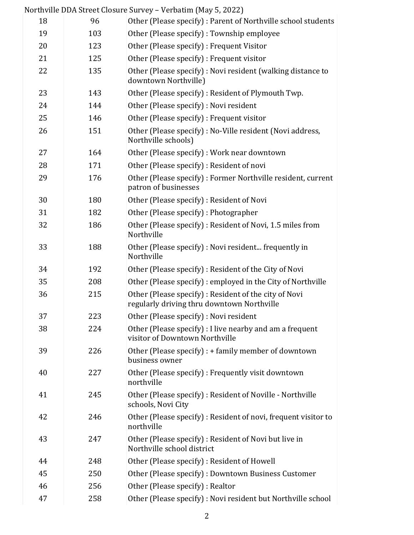|    |     | Northville DDA Street Closure Survey - Verbatim (May 5, 2022)                                       |
|----|-----|-----------------------------------------------------------------------------------------------------|
| 18 | 96  | Other (Please specify) : Parent of Northville school students                                       |
| 19 | 103 | Other (Please specify) : Township employee                                                          |
| 20 | 123 | Other (Please specify) : Frequent Visitor                                                           |
| 21 | 125 | Other (Please specify) : Frequent visitor                                                           |
| 22 | 135 | Other (Please specify) : Novi resident (walking distance to<br>downtown Northville)                 |
| 23 | 143 | Other (Please specify) : Resident of Plymouth Twp.                                                  |
| 24 | 144 | Other (Please specify) : Novi resident                                                              |
| 25 | 146 | Other (Please specify) : Frequent visitor                                                           |
| 26 | 151 | Other (Please specify) : No-Ville resident (Novi address,<br>Northville schools)                    |
| 27 | 164 | Other (Please specify) : Work near downtown                                                         |
| 28 | 171 | Other (Please specify) : Resident of novi                                                           |
| 29 | 176 | Other (Please specify) : Former Northville resident, current<br>patron of businesses                |
| 30 | 180 | Other (Please specify) : Resident of Novi                                                           |
| 31 | 182 | Other (Please specify) : Photographer                                                               |
| 32 | 186 | Other (Please specify): Resident of Novi, 1.5 miles from<br>Northville                              |
| 33 | 188 | Other (Please specify) : Novi resident frequently in<br>Northville                                  |
| 34 | 192 | Other (Please specify) : Resident of the City of Novi                                               |
| 35 | 208 | Other (Please specify) : employed in the City of Northville                                         |
| 36 | 215 | Other (Please specify) : Resident of the city of Novi<br>regularly driving thru downtown Northville |
| 37 | 223 | Other (Please specify) : Novi resident                                                              |
| 38 | 224 | Other (Please specify) : I live nearby and am a frequent<br>visitor of Downtown Northville          |
| 39 | 226 | Other (Please specify) : + family member of downtown<br>business owner                              |
| 40 | 227 | Other (Please specify) : Frequently visit downtown<br>northville                                    |
| 41 | 245 | Other (Please specify) : Resident of Noville - Northville<br>schools, Novi City                     |
| 42 | 246 | Other (Please specify) : Resident of novi, frequent visitor to<br>northville                        |
| 43 | 247 | Other (Please specify) : Resident of Novi but live in<br>Northville school district                 |
| 44 | 248 | Other (Please specify) : Resident of Howell                                                         |
| 45 | 250 | Other (Please specify) : Downtown Business Customer                                                 |
| 46 | 256 | Other (Please specify) : Realtor                                                                    |
| 47 | 258 | Other (Please specify) : Novi resident but Northville school                                        |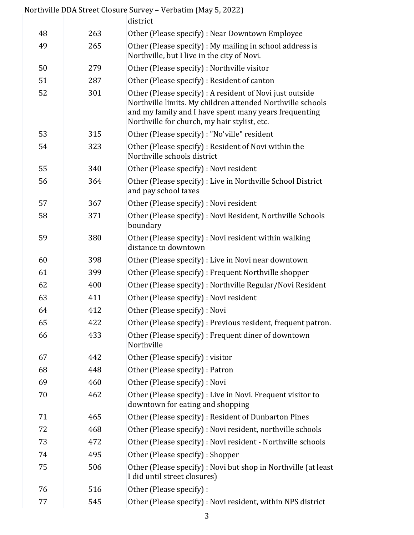|    |     | Northville DDA Street Closure Survey - Verbatim (May 5, 2022)                                                                                                                                                                   |
|----|-----|---------------------------------------------------------------------------------------------------------------------------------------------------------------------------------------------------------------------------------|
|    |     | district                                                                                                                                                                                                                        |
| 48 | 263 | Other (Please specify) : Near Downtown Employee                                                                                                                                                                                 |
| 49 | 265 | Other (Please specify) : My mailing in school address is<br>Northville, but I live in the city of Novi.                                                                                                                         |
| 50 | 279 | Other (Please specify) : Northville visitor                                                                                                                                                                                     |
| 51 | 287 | Other (Please specify) : Resident of canton                                                                                                                                                                                     |
| 52 | 301 | Other (Please specify) : A resident of Novi just outside<br>Northville limits. My children attended Northville schools<br>and my family and I have spent many years frequenting<br>Northville for church, my hair stylist, etc. |
| 53 | 315 | Other (Please specify) : "No'ville" resident                                                                                                                                                                                    |
| 54 | 323 | Other (Please specify) : Resident of Novi within the<br>Northville schools district                                                                                                                                             |
| 55 | 340 | Other (Please specify) : Novi resident                                                                                                                                                                                          |
| 56 | 364 | Other (Please specify) : Live in Northville School District<br>and pay school taxes                                                                                                                                             |
| 57 | 367 | Other (Please specify) : Novi resident                                                                                                                                                                                          |
| 58 | 371 | Other (Please specify) : Novi Resident, Northville Schools<br>boundary                                                                                                                                                          |
| 59 | 380 | Other (Please specify) : Novi resident within walking<br>distance to downtown                                                                                                                                                   |
| 60 | 398 | Other (Please specify) : Live in Novi near downtown                                                                                                                                                                             |
| 61 | 399 | Other (Please specify) : Frequent Northville shopper                                                                                                                                                                            |
| 62 | 400 | Other (Please specify) : Northville Regular/Novi Resident                                                                                                                                                                       |
| 63 | 411 | Other (Please specify) : Novi resident                                                                                                                                                                                          |
| 64 | 412 | Other (Please specify) : Novi                                                                                                                                                                                                   |
| 65 | 422 | Other (Please specify) : Previous resident, frequent patron.                                                                                                                                                                    |
| 66 | 433 | Other (Please specify) : Frequent diner of downtown<br>Northville                                                                                                                                                               |
| 67 | 442 | Other (Please specify) : visitor                                                                                                                                                                                                |
| 68 | 448 | Other (Please specify) : Patron                                                                                                                                                                                                 |
| 69 | 460 | Other (Please specify) : Novi                                                                                                                                                                                                   |
| 70 | 462 | Other (Please specify) : Live in Novi. Frequent visitor to<br>downtown for eating and shopping                                                                                                                                  |
| 71 | 465 | Other (Please specify) : Resident of Dunbarton Pines                                                                                                                                                                            |
| 72 | 468 | Other (Please specify) : Novi resident, northville schools                                                                                                                                                                      |
| 73 | 472 | Other (Please specify) : Novi resident - Northville schools                                                                                                                                                                     |
| 74 | 495 | Other (Please specify) : Shopper                                                                                                                                                                                                |
| 75 | 506 | Other (Please specify) : Novi but shop in Northville (at least<br>I did until street closures)                                                                                                                                  |
| 76 | 516 | Other (Please specify) :                                                                                                                                                                                                        |
| 77 | 545 | Other (Please specify) : Novi resident, within NPS district                                                                                                                                                                     |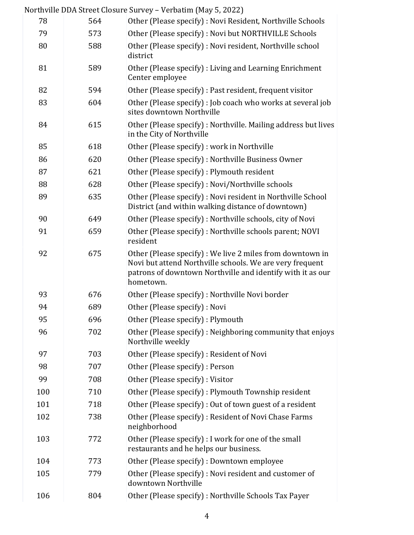|     |     | Northville DDA Street Closure Survey - Verbatim (May 5, 2022)                                                                                                                                    |
|-----|-----|--------------------------------------------------------------------------------------------------------------------------------------------------------------------------------------------------|
| 78  | 564 | Other (Please specify) : Novi Resident, Northville Schools                                                                                                                                       |
| 79  | 573 | Other (Please specify) : Novi but NORTHVILLE Schools                                                                                                                                             |
| 80  | 588 | Other (Please specify) : Novi resident, Northville school<br>district                                                                                                                            |
| 81  | 589 | Other (Please specify) : Living and Learning Enrichment<br>Center employee                                                                                                                       |
| 82  | 594 | Other (Please specify) : Past resident, frequent visitor                                                                                                                                         |
| 83  | 604 | Other (Please specify) : Job coach who works at several job<br>sites downtown Northville                                                                                                         |
| 84  | 615 | Other (Please specify): Northville. Mailing address but lives<br>in the City of Northville                                                                                                       |
| 85  | 618 | Other (Please specify) : work in Northville                                                                                                                                                      |
| 86  | 620 | Other (Please specify) : Northville Business Owner                                                                                                                                               |
| 87  | 621 | Other (Please specify) : Plymouth resident                                                                                                                                                       |
| 88  | 628 | Other (Please specify) : Novi/Northville schools                                                                                                                                                 |
| 89  | 635 | Other (Please specify) : Novi resident in Northville School<br>District (and within walking distance of downtown)                                                                                |
| 90  | 649 | Other (Please specify) : Northville schools, city of Novi                                                                                                                                        |
| 91  | 659 | Other (Please specify) : Northville schools parent; NOVI<br>resident                                                                                                                             |
| 92  | 675 | Other (Please specify) : We live 2 miles from downtown in<br>Novi but attend Northville schools. We are very frequent<br>patrons of downtown Northville and identify with it as our<br>hometown. |
| 93  | 676 | Other (Please specify) : Northville Novi border                                                                                                                                                  |
| 94  | 689 | Other (Please specify) : Novi                                                                                                                                                                    |
| 95  | 696 | Other (Please specify) : Plymouth                                                                                                                                                                |
| 96  | 702 | Other (Please specify) : Neighboring community that enjoys<br>Northville weekly                                                                                                                  |
| 97  | 703 | Other (Please specify) : Resident of Novi                                                                                                                                                        |
| 98  | 707 | Other (Please specify) : Person                                                                                                                                                                  |
| 99  | 708 | Other (Please specify) : Visitor                                                                                                                                                                 |
| 100 | 710 | Other (Please specify) : Plymouth Township resident                                                                                                                                              |
| 101 | 718 | Other (Please specify) : Out of town guest of a resident                                                                                                                                         |
| 102 | 738 | Other (Please specify) : Resident of Novi Chase Farms<br>neighborhood                                                                                                                            |
| 103 | 772 | Other (Please specify) : I work for one of the small<br>restaurants and he helps our business.                                                                                                   |
| 104 | 773 | Other (Please specify) : Downtown employee                                                                                                                                                       |
| 105 | 779 | Other (Please specify) : Novi resident and customer of<br>downtown Northville                                                                                                                    |
| 106 | 804 | Other (Please specify) : Northville Schools Tax Payer                                                                                                                                            |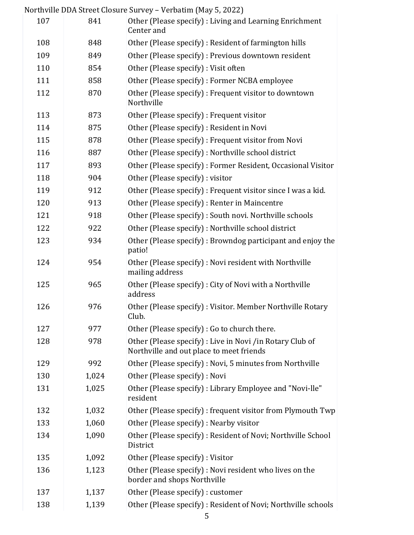|     |       | Northville DDA Street Closure Survey - Verbatim (May 5, 2022)                                        |
|-----|-------|------------------------------------------------------------------------------------------------------|
| 107 | 841   | Other (Please specify) : Living and Learning Enrichment<br>Center and                                |
| 108 | 848   | Other (Please specify) : Resident of farmington hills                                                |
| 109 | 849   | Other (Please specify) : Previous downtown resident                                                  |
| 110 | 854   | Other (Please specify) : Visit often                                                                 |
| 111 | 858   | Other (Please specify) : Former NCBA employee                                                        |
| 112 | 870   | Other (Please specify) : Frequent visitor to downtown<br>Northville                                  |
| 113 | 873   | Other (Please specify) : Frequent visitor                                                            |
| 114 | 875   | Other (Please specify) : Resident in Novi                                                            |
| 115 | 878   | Other (Please specify) : Frequent visitor from Novi                                                  |
| 116 | 887   | Other (Please specify) : Northville school district                                                  |
| 117 | 893   | Other (Please specify) : Former Resident, Occasional Visitor                                         |
| 118 | 904   | Other (Please specify) : visitor                                                                     |
| 119 | 912   | Other (Please specify) : Frequent visitor since I was a kid.                                         |
| 120 | 913   | Other (Please specify) : Renter in Maincentre                                                        |
| 121 | 918   | Other (Please specify) : South novi. Northville schools                                              |
| 122 | 922   | Other (Please specify) : Northville school district                                                  |
| 123 | 934   | Other (Please specify) : Browndog participant and enjoy the<br>patio!                                |
| 124 | 954   | Other (Please specify) : Novi resident with Northville<br>mailing address                            |
| 125 | 965   | Other (Please specify) : City of Novi with a Northville<br>address                                   |
| 126 | 976   | Other (Please specify) : Visitor. Member Northville Rotary<br>Club.                                  |
| 127 | 977   | Other (Please specify) : Go to church there.                                                         |
| 128 | 978   | Other (Please specify) : Live in Novi /in Rotary Club of<br>Northville and out place to meet friends |
| 129 | 992   | Other (Please specify) : Novi, 5 minutes from Northville                                             |
| 130 | 1,024 | Other (Please specify) : Novi                                                                        |
| 131 | 1,025 | Other (Please specify) : Library Employee and "Novi-lle"<br>resident                                 |
| 132 | 1,032 | Other (Please specify) : frequent visitor from Plymouth Twp                                          |
| 133 | 1,060 | Other (Please specify) : Nearby visitor                                                              |
| 134 | 1,090 | Other (Please specify) : Resident of Novi; Northville School<br>District                             |
| 135 | 1,092 | Other (Please specify) : Visitor                                                                     |
| 136 | 1,123 | Other (Please specify) : Novi resident who lives on the<br>border and shops Northville               |
| 137 | 1,137 | Other (Please specify) : customer                                                                    |
| 138 | 1,139 | Other (Please specify) : Resident of Novi; Northville schools                                        |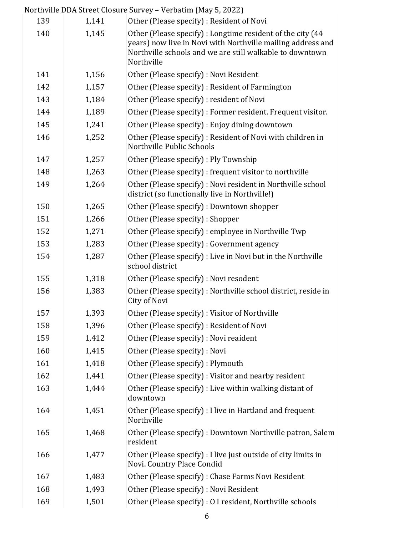|     |       | $\frac{1}{100}$ chemic DDA out cet grosule but ver $\frac{1}{100}$ verbathin (Fia) b, 2022,                                                                                                         |
|-----|-------|-----------------------------------------------------------------------------------------------------------------------------------------------------------------------------------------------------|
| 139 | 1,141 | Other (Please specify) : Resident of Novi                                                                                                                                                           |
| 140 | 1,145 | Other (Please specify) : Longtime resident of the city (44<br>years) now live in Novi with Northville mailing address and<br>Northville schools and we are still walkable to downtown<br>Northville |
| 141 | 1,156 | Other (Please specify) : Novi Resident                                                                                                                                                              |
| 142 | 1,157 | Other (Please specify) : Resident of Farmington                                                                                                                                                     |
| 143 | 1,184 | Other (Please specify) : resident of Novi                                                                                                                                                           |
| 144 | 1,189 | Other (Please specify) : Former resident. Frequent visitor.                                                                                                                                         |
| 145 | 1,241 | Other (Please specify) : Enjoy dining downtown                                                                                                                                                      |
| 146 | 1,252 | Other (Please specify) : Resident of Novi with children in<br>Northville Public Schools                                                                                                             |
| 147 | 1,257 | Other (Please specify) : Ply Township                                                                                                                                                               |
| 148 | 1,263 | Other (Please specify) : frequent visitor to northville                                                                                                                                             |
| 149 | 1,264 | Other (Please specify) : Novi resident in Northville school<br>district (so functionally live in Northville!)                                                                                       |
| 150 | 1,265 | Other (Please specify) : Downtown shopper                                                                                                                                                           |
| 151 | 1,266 | Other (Please specify) : Shopper                                                                                                                                                                    |
| 152 | 1,271 | Other (Please specify) : employee in Northville Twp                                                                                                                                                 |
| 153 | 1,283 | Other (Please specify) : Government agency                                                                                                                                                          |
| 154 | 1,287 | Other (Please specify) : Live in Novi but in the Northville<br>school district                                                                                                                      |
| 155 | 1,318 | Other (Please specify) : Novi resodent                                                                                                                                                              |
| 156 | 1,383 | Other (Please specify) : Northville school district, reside in<br>City of Novi                                                                                                                      |
| 157 | 1,393 | Other (Please specify) : Visitor of Northville                                                                                                                                                      |
| 158 | 1,396 | Other (Please specify) : Resident of Novi                                                                                                                                                           |
| 159 | 1,412 | Other (Please specify) : Novi reaident                                                                                                                                                              |
| 160 | 1,415 | Other (Please specify) : Novi                                                                                                                                                                       |
| 161 | 1,418 | Other (Please specify) : Plymouth                                                                                                                                                                   |
| 162 | 1,441 | Other (Please specify) : Visitor and nearby resident                                                                                                                                                |
| 163 | 1,444 | Other (Please specify) : Live within walking distant of<br>downtown                                                                                                                                 |
| 164 | 1,451 | Other (Please specify) : I live in Hartland and frequent<br>Northville                                                                                                                              |
| 165 | 1,468 | Other (Please specify) : Downtown Northville patron, Salem<br>resident                                                                                                                              |
| 166 | 1,477 | Other (Please specify) : I live just outside of city limits in<br>Novi. Country Place Condid                                                                                                        |
| 167 | 1,483 | Other (Please specify) : Chase Farms Novi Resident                                                                                                                                                  |
| 168 | 1,493 | Other (Please specify) : Novi Resident                                                                                                                                                              |
| 169 | 1,501 | Other (Please specify) : O I resident, Northville schools                                                                                                                                           |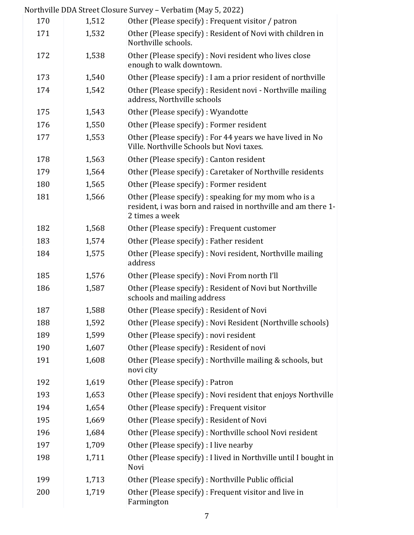|     |       | of the BDR street dissure survey a verbathly (may b) 2022)                                                                               |
|-----|-------|------------------------------------------------------------------------------------------------------------------------------------------|
| 170 | 1,512 | Other (Please specify) : Frequent visitor / patron                                                                                       |
| 171 | 1,532 | Other (Please specify) : Resident of Novi with children in<br>Northville schools.                                                        |
| 172 | 1,538 | Other (Please specify) : Novi resident who lives close<br>enough to walk downtown.                                                       |
| 173 | 1,540 | Other (Please specify) : I am a prior resident of northville                                                                             |
| 174 | 1,542 | Other (Please specify) : Resident novi - Northville mailing<br>address, Northville schools                                               |
| 175 | 1,543 | Other (Please specify) : Wyandotte                                                                                                       |
| 176 | 1,550 | Other (Please specify) : Former resident                                                                                                 |
| 177 | 1,553 | Other (Please specify) : For 44 years we have lived in No<br>Ville. Northville Schools but Novi taxes.                                   |
| 178 | 1,563 | Other (Please specify) : Canton resident                                                                                                 |
| 179 | 1,564 | Other (Please specify) : Caretaker of Northville residents                                                                               |
| 180 | 1,565 | Other (Please specify) : Former resident                                                                                                 |
| 181 | 1,566 | Other (Please specify) : speaking for my mom who is a<br>resident, i was born and raised in northville and am there 1-<br>2 times a week |
| 182 | 1,568 | Other (Please specify) : Frequent customer                                                                                               |
| 183 | 1,574 | Other (Please specify) : Father resident                                                                                                 |
| 184 | 1,575 | Other (Please specify) : Novi resident, Northville mailing<br>address                                                                    |
| 185 | 1,576 | Other (Please specify) : Novi From north I'll                                                                                            |
| 186 | 1,587 | Other (Please specify) : Resident of Novi but Northville<br>schools and mailing address                                                  |
| 187 | 1,588 | Other (Please specify) : Resident of Novi                                                                                                |
| 188 | 1,592 | Other (Please specify) : Novi Resident (Northville schools)                                                                              |
| 189 | 1,599 | Other (Please specify) : novi resident                                                                                                   |
| 190 | 1,607 | Other (Please specify) : Resident of novi                                                                                                |
| 191 | 1,608 | Other (Please specify) : Northville mailing & schools, but<br>novi city                                                                  |
| 192 | 1,619 | Other (Please specify) : Patron                                                                                                          |
| 193 | 1,653 | Other (Please specify) : Novi resident that enjoys Northville                                                                            |
| 194 | 1,654 | Other (Please specify) : Frequent visitor                                                                                                |
| 195 | 1,669 | Other (Please specify) : Resident of Novi                                                                                                |
| 196 | 1,684 | Other (Please specify) : Northville school Novi resident                                                                                 |
| 197 | 1,709 | Other (Please specify) : I live nearby                                                                                                   |
| 198 | 1,711 | Other (Please specify) : I lived in Northville until I bought in<br>Novi                                                                 |
| 199 | 1,713 | Other (Please specify) : Northville Public official                                                                                      |
| 200 | 1,719 | Other (Please specify) : Frequent visitor and live in<br>Farmington                                                                      |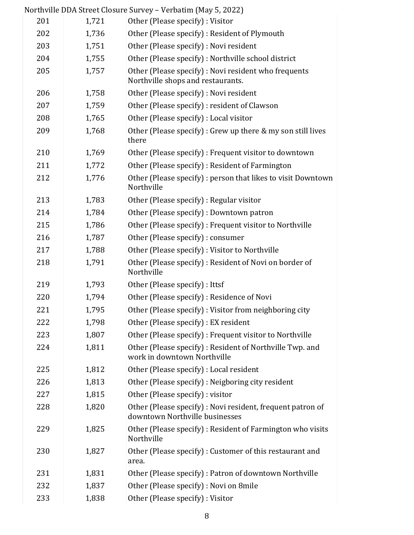|     |       | Northville DDA Street Closure Survey - Verbatim (May 5, 2022)                                |
|-----|-------|----------------------------------------------------------------------------------------------|
| 201 | 1,721 | Other (Please specify) : Visitor                                                             |
| 202 | 1,736 | Other (Please specify) : Resident of Plymouth                                                |
| 203 | 1,751 | Other (Please specify) : Novi resident                                                       |
| 204 | 1,755 | Other (Please specify) : Northville school district                                          |
| 205 | 1,757 | Other (Please specify) : Novi resident who frequents<br>Northville shops and restaurants.    |
| 206 | 1,758 | Other (Please specify) : Novi resident                                                       |
| 207 | 1,759 | Other (Please specify) : resident of Clawson                                                 |
| 208 | 1,765 | Other (Please specify) : Local visitor                                                       |
| 209 | 1,768 | Other (Please specify) : Grew up there & my son still lives<br>there                         |
| 210 | 1,769 | Other (Please specify) : Frequent visitor to downtown                                        |
| 211 | 1,772 | Other (Please specify) : Resident of Farmington                                              |
| 212 | 1,776 | Other (Please specify) : person that likes to visit Downtown<br>Northville                   |
| 213 | 1,783 | Other (Please specify) : Regular visitor                                                     |
| 214 | 1,784 | Other (Please specify) : Downtown patron                                                     |
| 215 | 1,786 | Other (Please specify) : Frequent visitor to Northville                                      |
| 216 | 1,787 | Other (Please specify) : consumer                                                            |
| 217 | 1,788 | Other (Please specify) : Visitor to Northville                                               |
| 218 | 1,791 | Other (Please specify) : Resident of Novi on border of<br>Northville                         |
| 219 | 1,793 | Other (Please specify) : Ittsf                                                               |
| 220 | 1,794 | Other (Please specify) : Residence of Novi                                                   |
| 221 | 1,795 | Other (Please specify) : Visitor from neighboring city                                       |
| 222 | 1,798 | Other (Please specify) : EX resident                                                         |
| 223 | 1,807 | Other (Please specify) : Frequent visitor to Northville                                      |
| 224 | 1,811 | Other (Please specify) : Resident of Northville Twp. and<br>work in downtown Northville      |
| 225 | 1,812 | Other (Please specify) : Local resident                                                      |
| 226 | 1,813 | Other (Please specify) : Neigboring city resident                                            |
| 227 | 1,815 | Other (Please specify) : visitor                                                             |
| 228 | 1,820 | Other (Please specify) : Novi resident, frequent patron of<br>downtown Northville businesses |
| 229 | 1,825 | Other (Please specify) : Resident of Farmington who visits<br>Northville                     |
| 230 | 1,827 | Other (Please specify) : Customer of this restaurant and<br>area.                            |
| 231 | 1,831 | Other (Please specify) : Patron of downtown Northville                                       |
| 232 | 1,837 | Other (Please specify) : Novi on 8 mile                                                      |
| 233 | 1,838 | Other (Please specify) : Visitor                                                             |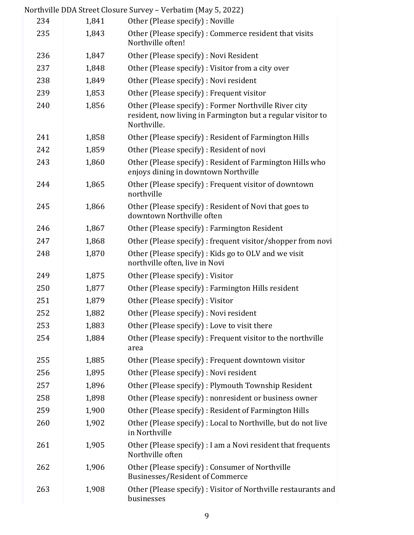|     |       | Northville DDA Street Closure Survey - Verbatim (May 5, 2022)                                                                       |
|-----|-------|-------------------------------------------------------------------------------------------------------------------------------------|
| 234 | 1,841 | Other (Please specify) : Noville                                                                                                    |
| 235 | 1,843 | Other (Please specify) : Commerce resident that visits<br>Northville often!                                                         |
| 236 | 1,847 | Other (Please specify) : Novi Resident                                                                                              |
| 237 | 1,848 | Other (Please specify) : Visitor from a city over                                                                                   |
| 238 | 1,849 | Other (Please specify) : Novi resident                                                                                              |
| 239 | 1,853 | Other (Please specify) : Frequent visitor                                                                                           |
| 240 | 1,856 | Other (Please specify) : Former Northville River city<br>resident, now living in Farmington but a regular visitor to<br>Northville. |
| 241 | 1,858 | Other (Please specify) : Resident of Farmington Hills                                                                               |
| 242 | 1,859 | Other (Please specify) : Resident of novi                                                                                           |
| 243 | 1,860 | Other (Please specify) : Resident of Farmington Hills who<br>enjoys dining in downtown Northville                                   |
| 244 | 1,865 | Other (Please specify) : Frequent visitor of downtown<br>northville                                                                 |
| 245 | 1,866 | Other (Please specify) : Resident of Novi that goes to<br>downtown Northville often                                                 |
| 246 | 1,867 | Other (Please specify) : Farmington Resident                                                                                        |
| 247 | 1,868 | Other (Please specify) : frequent visitor/shopper from novi                                                                         |
| 248 | 1,870 | Other (Please specify) : Kids go to OLV and we visit<br>northville often, live in Novi                                              |
| 249 | 1,875 | Other (Please specify) : Visitor                                                                                                    |
| 250 | 1,877 | Other (Please specify) : Farmington Hills resident                                                                                  |
| 251 | 1,879 | Other (Please specify) : Visitor                                                                                                    |
| 252 | 1,882 | Other (Please specify) : Novi resident                                                                                              |
| 253 | 1,883 | Other (Please specify) : Love to visit there                                                                                        |
| 254 | 1,884 | Other (Please specify) : Frequent visitor to the northville<br>area                                                                 |
| 255 | 1,885 | Other (Please specify) : Frequent downtown visitor                                                                                  |
| 256 | 1,895 | Other (Please specify) : Novi resident                                                                                              |
| 257 | 1,896 | Other (Please specify) : Plymouth Township Resident                                                                                 |
| 258 | 1,898 | Other (Please specify) : nonresident or business owner                                                                              |
| 259 | 1,900 | Other (Please specify) : Resident of Farmington Hills                                                                               |
| 260 | 1,902 | Other (Please specify) : Local to Northville, but do not live<br>in Northville                                                      |
| 261 | 1,905 | Other (Please specify) : I am a Novi resident that frequents<br>Northville often                                                    |
| 262 | 1,906 | Other (Please specify) : Consumer of Northville<br>Businesses/Resident of Commerce                                                  |
| 263 | 1,908 | Other (Please specify) : Visitor of Northville restaurants and<br>businesses                                                        |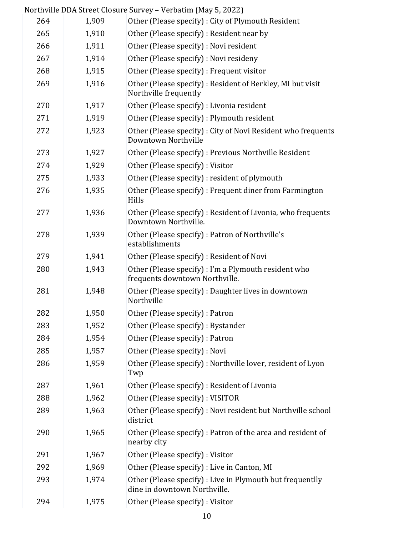|     |       | Northville DDA Street Closure Survey - Verbatim (May 5, 2022)                             |
|-----|-------|-------------------------------------------------------------------------------------------|
| 264 | 1,909 | Other (Please specify) : City of Plymouth Resident                                        |
| 265 | 1,910 | Other (Please specify) : Resident near by                                                 |
| 266 | 1,911 | Other (Please specify) : Novi resident                                                    |
| 267 | 1,914 | Other (Please specify) : Novi resideny                                                    |
| 268 | 1,915 | Other (Please specify) : Frequent visitor                                                 |
| 269 | 1,916 | Other (Please specify): Resident of Berkley, MI but visit<br>Northville frequently        |
| 270 | 1,917 | Other (Please specify) : Livonia resident                                                 |
| 271 | 1,919 | Other (Please specify) : Plymouth resident                                                |
| 272 | 1,923 | Other (Please specify) : City of Novi Resident who frequents<br>Downtown Northville       |
| 273 | 1,927 | Other (Please specify) : Previous Northville Resident                                     |
| 274 | 1,929 | Other (Please specify) : Visitor                                                          |
| 275 | 1,933 | Other (Please specify) : resident of plymouth                                             |
| 276 | 1,935 | Other (Please specify) : Frequent diner from Farmington<br>Hills                          |
| 277 | 1,936 | Other (Please specify) : Resident of Livonia, who frequents<br>Downtown Northville.       |
| 278 | 1,939 | Other (Please specify) : Patron of Northville's<br>establishments                         |
| 279 | 1,941 | Other (Please specify) : Resident of Novi                                                 |
| 280 | 1,943 | Other (Please specify) : I'm a Plymouth resident who<br>frequents downtown Northville.    |
| 281 | 1,948 | Other (Please specify) : Daughter lives in downtown<br>Northville                         |
| 282 | 1,950 | Other (Please specify) : Patron                                                           |
| 283 | 1,952 | Other (Please specify) : Bystander                                                        |
| 284 | 1,954 | Other (Please specify) : Patron                                                           |
| 285 | 1,957 | Other (Please specify) : Novi                                                             |
| 286 | 1,959 | Other (Please specify) : Northville lover, resident of Lyon<br>Twp                        |
| 287 | 1,961 | Other (Please specify) : Resident of Livonia                                              |
| 288 | 1,962 | Other (Please specify) : VISITOR                                                          |
| 289 | 1,963 | Other (Please specify) : Novi resident but Northville school<br>district                  |
| 290 | 1,965 | Other (Please specify) : Patron of the area and resident of<br>nearby city                |
| 291 | 1,967 | Other (Please specify) : Visitor                                                          |
| 292 | 1,969 | Other (Please specify) : Live in Canton, MI                                               |
| 293 | 1,974 | Other (Please specify) : Live in Plymouth but frequentlly<br>dine in downtown Northville. |
| 294 | 1,975 | Other (Please specify) : Visitor                                                          |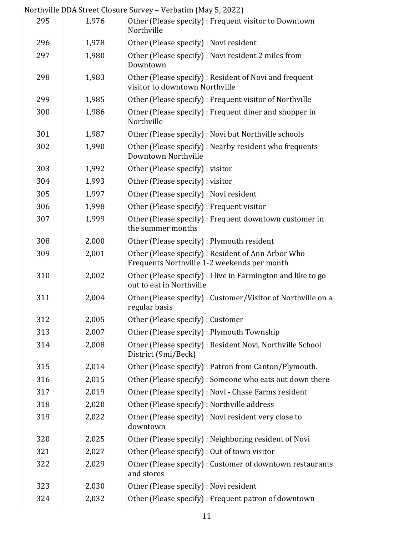| Northville DDA Street Closure Survey – Verbatim (May 5, 2022) |  |
|---------------------------------------------------------------|--|
|---------------------------------------------------------------|--|

|     |       | of the net between the survey $\alpha$ of $\alpha$ and $\alpha$ $\beta$ becomes the $\alpha$      |
|-----|-------|---------------------------------------------------------------------------------------------------|
| 295 | 1,976 | Other (Please specify) : Frequent visitor to Downtown<br>Northville                               |
| 296 | 1,978 | Other (Please specify) : Novi resident                                                            |
| 297 | 1,980 | Other (Please specify) : Novi resident 2 miles from<br>Downtown                                   |
| 298 | 1,983 | Other (Please specify) : Resident of Novi and frequent<br>visitor to downtown Northville          |
| 299 | 1,985 | Other (Please specify) : Frequent visitor of Northville                                           |
| 300 | 1,986 | Other (Please specify) : Frequent diner and shopper in<br>Northville                              |
| 301 | 1,987 | Other (Please specify) : Novi but Northville schools                                              |
| 302 | 1,990 | Other (Please specify) : Nearby resident who frequents<br>Downtown Northville                     |
| 303 | 1,992 | Other (Please specify) : visitor                                                                  |
| 304 | 1,993 | Other (Please specify) : visitor                                                                  |
| 305 | 1,997 | Other (Please specify) : Novi resident                                                            |
| 306 | 1,998 | Other (Please specify) : Frequent visitor                                                         |
| 307 | 1,999 | Other (Please specify) : Frequent downtown customer in<br>the summer months                       |
| 308 | 2,000 | Other (Please specify) : Plymouth resident                                                        |
| 309 | 2,001 | Other (Please specify) : Resident of Ann Arbor Who<br>Frequents Northville 1-2 weekends per month |
| 310 | 2,002 | Other (Please specify) : I live in Farmington and like to go<br>out to eat in Northville          |
| 311 | 2,004 | Other (Please specify) : Customer/Visitor of Northville on a<br>regular basis                     |
| 312 | 2,005 | Other (Please specify) : Customer                                                                 |
| 313 | 2,007 | Other (Please specify) : Plymouth Township                                                        |
| 314 | 2,008 | Other (Please specify) : Resident Novi, Northville School<br>District (9mi/Beck)                  |
| 315 | 2,014 | Other (Please specify) : Patron from Canton/Plymouth.                                             |
| 316 | 2,015 | Other (Please specify) : Someone who eats out down there                                          |
| 317 | 2,019 | Other (Please specify) : Novi - Chase Farms resident                                              |
| 318 | 2,020 | Other (Please specify) : Northville address                                                       |
| 319 | 2,022 | Other (Please specify) : Novi resident very close to<br>downtown                                  |
| 320 | 2,025 | Other (Please specify) : Neighboring resident of Novi                                             |
| 321 | 2,027 | Other (Please specify) : Out of town visitor                                                      |
| 322 | 2,029 | Other (Please specify) : Customer of downtown restaurants<br>and stores                           |
| 323 | 2,030 | Other (Please specify) : Novi resident                                                            |
| 324 | 2,032 | Other (Please specify) : Frequent patron of downtown                                              |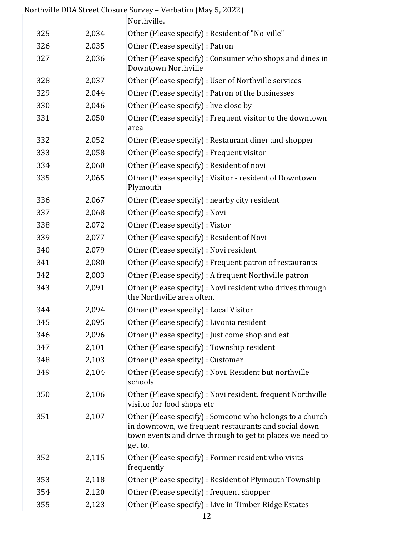|     |       | Northville DDA Street Closure Survey - Verbatim (May 5, 2022)                                                                                                                            |
|-----|-------|------------------------------------------------------------------------------------------------------------------------------------------------------------------------------------------|
|     |       | Northville.                                                                                                                                                                              |
| 325 | 2,034 | Other (Please specify) : Resident of "No-ville"                                                                                                                                          |
| 326 | 2,035 | Other (Please specify) : Patron                                                                                                                                                          |
| 327 | 2,036 | Other (Please specify) : Consumer who shops and dines in<br>Downtown Northville                                                                                                          |
| 328 | 2,037 | Other (Please specify) : User of Northville services                                                                                                                                     |
| 329 | 2,044 | Other (Please specify) : Patron of the businesses                                                                                                                                        |
| 330 | 2,046 | Other (Please specify) : live close by                                                                                                                                                   |
| 331 | 2,050 | Other (Please specify) : Frequent visitor to the downtown<br>area                                                                                                                        |
| 332 | 2,052 | Other (Please specify) : Restaurant diner and shopper                                                                                                                                    |
| 333 | 2,058 | Other (Please specify) : Frequent visitor                                                                                                                                                |
| 334 | 2,060 | Other (Please specify) : Resident of novi                                                                                                                                                |
| 335 | 2,065 | Other (Please specify) : Visitor - resident of Downtown<br>Plymouth                                                                                                                      |
| 336 | 2,067 | Other (Please specify) : nearby city resident                                                                                                                                            |
| 337 | 2,068 | Other (Please specify) : Novi                                                                                                                                                            |
| 338 | 2,072 | Other (Please specify) : Vistor                                                                                                                                                          |
| 339 | 2,077 | Other (Please specify) : Resident of Novi                                                                                                                                                |
| 340 | 2,079 | Other (Please specify) : Novi resident                                                                                                                                                   |
| 341 | 2,080 | Other (Please specify) : Frequent patron of restaurants                                                                                                                                  |
| 342 | 2,083 | Other (Please specify) : A frequent Northville patron                                                                                                                                    |
| 343 | 2,091 | Other (Please specify) : Novi resident who drives through<br>the Northville area often.                                                                                                  |
| 344 | 2,094 | Other (Please specify) : Local Visitor                                                                                                                                                   |
| 345 | 2,095 | Other (Please specify) : Livonia resident                                                                                                                                                |
| 346 | 2,096 | Other (Please specify) : Just come shop and eat                                                                                                                                          |
| 347 | 2,101 | Other (Please specify) : Township resident                                                                                                                                               |
| 348 | 2,103 | Other (Please specify) : Customer                                                                                                                                                        |
| 349 | 2,104 | Other (Please specify) : Novi. Resident but northville<br>schools                                                                                                                        |
| 350 | 2,106 | Other (Please specify) : Novi resident. frequent Northville<br>visitor for food shops etc                                                                                                |
| 351 | 2,107 | Other (Please specify) : Someone who belongs to a church<br>in downtown, we frequent restaurants and social down<br>town events and drive through to get to places we need to<br>get to. |
| 352 | 2,115 | Other (Please specify) : Former resident who visits<br>frequently                                                                                                                        |
| 353 | 2,118 | Other (Please specify) : Resident of Plymouth Township                                                                                                                                   |
| 354 | 2,120 | Other (Please specify) : frequent shopper                                                                                                                                                |
| 355 | 2,123 | Other (Please specify) : Live in Timber Ridge Estates                                                                                                                                    |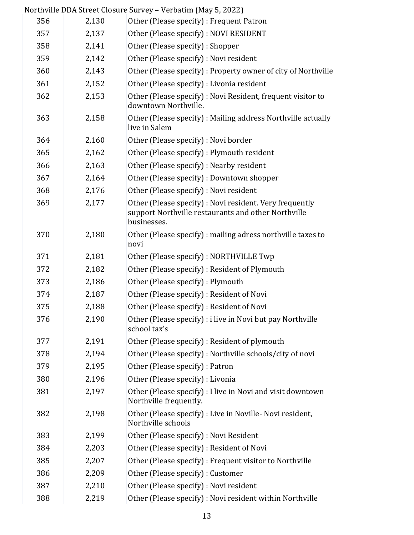|     |       | Northville DDA Street Closure Survey - Verbatim (May 5, 2022)                                                                 |
|-----|-------|-------------------------------------------------------------------------------------------------------------------------------|
| 356 | 2,130 | Other (Please specify) : Frequent Patron                                                                                      |
| 357 | 2,137 | Other (Please specify) : NOVI RESIDENT                                                                                        |
| 358 | 2,141 | Other (Please specify) : Shopper                                                                                              |
| 359 | 2,142 | Other (Please specify) : Novi resident                                                                                        |
| 360 | 2,143 | Other (Please specify) : Property owner of city of Northville                                                                 |
| 361 | 2,152 | Other (Please specify) : Livonia resident                                                                                     |
| 362 | 2,153 | Other (Please specify) : Novi Resident, frequent visitor to<br>downtown Northville.                                           |
| 363 | 2,158 | Other (Please specify) : Mailing address Northville actually<br>live in Salem                                                 |
| 364 | 2,160 | Other (Please specify) : Novi border                                                                                          |
| 365 | 2,162 | Other (Please specify) : Plymouth resident                                                                                    |
| 366 | 2,163 | Other (Please specify) : Nearby resident                                                                                      |
| 367 | 2,164 | Other (Please specify) : Downtown shopper                                                                                     |
| 368 | 2,176 | Other (Please specify) : Novi resident                                                                                        |
| 369 | 2,177 | Other (Please specify) : Novi resident. Very frequently<br>support Northville restaurants and other Northville<br>businesses. |
| 370 | 2,180 | Other (Please specify) : mailing adress northville taxes to<br>novi                                                           |
| 371 | 2,181 | Other (Please specify) : NORTHVILLE Twp                                                                                       |
| 372 | 2,182 | Other (Please specify) : Resident of Plymouth                                                                                 |
| 373 | 2,186 | Other (Please specify) : Plymouth                                                                                             |
| 374 | 2,187 | Other (Please specify) : Resident of Novi                                                                                     |
| 375 | 2,188 | Other (Please specify) : Resident of Novi                                                                                     |
| 376 | 2,190 | Other (Please specify) : i live in Novi but pay Northville<br>school tax's                                                    |
| 377 | 2,191 | Other (Please specify) : Resident of plymouth                                                                                 |
| 378 | 2,194 | Other (Please specify) : Northville schools/city of novi                                                                      |
| 379 | 2,195 | Other (Please specify) : Patron                                                                                               |
| 380 | 2,196 | Other (Please specify) : Livonia                                                                                              |
| 381 | 2,197 | Other (Please specify) : I live in Novi and visit downtown<br>Northville frequently.                                          |
| 382 | 2,198 | Other (Please specify) : Live in Noville-Novi resident,<br>Northville schools                                                 |
| 383 | 2,199 | Other (Please specify) : Novi Resident                                                                                        |
| 384 | 2,203 | Other (Please specify) : Resident of Novi                                                                                     |
| 385 | 2,207 | Other (Please specify) : Frequent visitor to Northville                                                                       |
| 386 | 2,209 | Other (Please specify) : Customer                                                                                             |
| 387 | 2,210 | Other (Please specify) : Novi resident                                                                                        |
| 388 | 2,219 | Other (Please specify) : Novi resident within Northville                                                                      |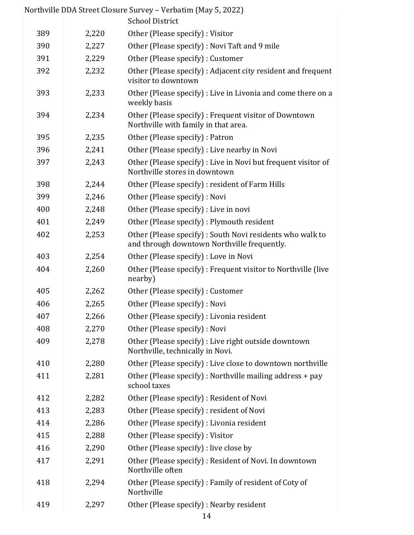|     |       | Northville DDA Street Closure Survey – Verbatim (May 5, 2022)                                            |
|-----|-------|----------------------------------------------------------------------------------------------------------|
|     |       | <b>School District</b>                                                                                   |
| 389 | 2,220 | Other (Please specify) : Visitor                                                                         |
| 390 | 2,227 | Other (Please specify) : Novi Taft and 9 mile                                                            |
| 391 | 2,229 | Other (Please specify) : Customer                                                                        |
| 392 | 2,232 | Other (Please specify) : Adjacent city resident and frequent<br>visitor to downtown                      |
| 393 | 2,233 | Other (Please specify) : Live in Livonia and come there on a<br>weekly basis                             |
| 394 | 2,234 | Other (Please specify) : Frequent visitor of Downtown<br>Northville with family in that area.            |
| 395 | 2,235 | Other (Please specify) : Patron                                                                          |
| 396 | 2,241 | Other (Please specify) : Live nearby in Novi                                                             |
| 397 | 2,243 | Other (Please specify) : Live in Novi but frequent visitor of<br>Northville stores in downtown           |
| 398 | 2,244 | Other (Please specify) : resident of Farm Hills                                                          |
| 399 | 2,246 | Other (Please specify) : Novi                                                                            |
| 400 | 2,248 | Other (Please specify) : Live in novi                                                                    |
| 401 | 2,249 | Other (Please specify) : Plymouth resident                                                               |
| 402 | 2,253 | Other (Please specify) : South Novi residents who walk to<br>and through downtown Northville frequently. |
| 403 | 2,254 | Other (Please specify) : Love in Novi                                                                    |
| 404 | 2,260 | Other (Please specify) : Frequent visitor to Northville (live<br>nearby)                                 |
| 405 | 2,262 | Other (Please specify) : Customer                                                                        |
| 406 | 2,265 | Other (Please specify) : Novi                                                                            |
| 407 | 2,266 | Other (Please specify) : Livonia resident                                                                |
| 408 | 2,270 | Other (Please specify) : Novi                                                                            |
| 409 | 2,278 | Other (Please specify) : Live right outside downtown<br>Northville, technically in Novi.                 |
| 410 | 2,280 | Other (Please specify) : Live close to downtown northville                                               |
| 411 | 2,281 | Other (Please specify) : Northville mailing address + pay<br>school taxes                                |
| 412 | 2,282 | Other (Please specify) : Resident of Novi                                                                |
| 413 | 2,283 | Other (Please specify) : resident of Novi                                                                |
| 414 | 2,286 | Other (Please specify) : Livonia resident                                                                |
| 415 | 2,288 | Other (Please specify) : Visitor                                                                         |
| 416 | 2,290 | Other (Please specify) : live close by                                                                   |
| 417 | 2,291 | Other (Please specify) : Resident of Novi. In downtown<br>Northville often                               |
| 418 | 2,294 | Other (Please specify) : Family of resident of Coty of<br>Northville                                     |
| 419 | 2,297 | Other (Please specify) : Nearby resident                                                                 |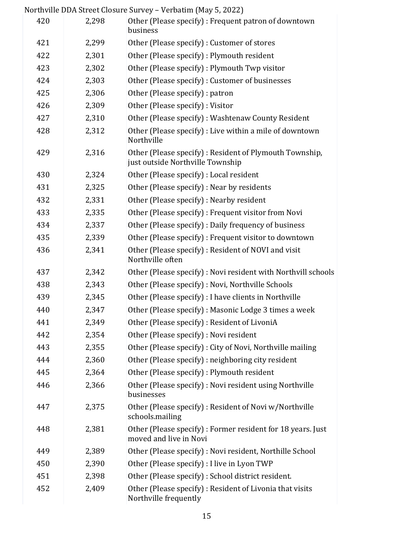|     |       | Northville DDA Street Closure Survey - Verbatim (May 5, 2022)                              |
|-----|-------|--------------------------------------------------------------------------------------------|
| 420 | 2,298 | Other (Please specify) : Frequent patron of downtown<br>business                           |
| 421 | 2,299 | Other (Please specify) : Customer of stores                                                |
| 422 | 2,301 | Other (Please specify) : Plymouth resident                                                 |
| 423 | 2,302 | Other (Please specify) : Plymouth Twp visitor                                              |
| 424 | 2,303 | Other (Please specify) : Customer of businesses                                            |
| 425 | 2,306 | Other (Please specify) : patron                                                            |
| 426 | 2,309 | Other (Please specify) : Visitor                                                           |
| 427 | 2,310 | Other (Please specify) : Washtenaw County Resident                                         |
| 428 | 2,312 | Other (Please specify) : Live within a mile of downtown<br>Northville                      |
| 429 | 2,316 | Other (Please specify): Resident of Plymouth Township,<br>just outside Northville Township |
| 430 | 2,324 | Other (Please specify) : Local resident                                                    |
| 431 | 2,325 | Other (Please specify) : Near by residents                                                 |
| 432 | 2,331 | Other (Please specify) : Nearby resident                                                   |
| 433 | 2,335 | Other (Please specify) : Frequent visitor from Novi                                        |
| 434 | 2,337 | Other (Please specify) : Daily frequency of business                                       |
| 435 | 2,339 | Other (Please specify) : Frequent visitor to downtown                                      |
| 436 | 2,341 | Other (Please specify) : Resident of NOVI and visit<br>Northville often                    |
| 437 | 2,342 | Other (Please specify) : Novi resident with Northvill schools                              |
| 438 | 2,343 | Other (Please specify) : Novi, Northville Schools                                          |
| 439 | 2,345 | Other (Please specify) : I have clients in Northville                                      |
| 440 | 2,347 | Other (Please specify) : Masonic Lodge 3 times a week                                      |
| 441 | 2,349 | Other (Please specify) : Resident of LivoniA                                               |
| 442 | 2,354 | Other (Please specify) : Novi resident                                                     |
| 443 | 2,355 | Other (Please specify) : City of Novi, Northville mailing                                  |
| 444 | 2,360 | Other (Please specify) : neighboring city resident                                         |
| 445 | 2,364 | Other (Please specify) : Plymouth resident                                                 |
| 446 | 2,366 | Other (Please specify) : Novi resident using Northville<br>businesses                      |
| 447 | 2,375 | Other (Please specify) : Resident of Novi w/Northville<br>schools.mailing                  |
| 448 | 2,381 | Other (Please specify) : Former resident for 18 years. Just<br>moved and live in Novi      |
| 449 | 2,389 | Other (Please specify) : Novi resident, Northille School                                   |
| 450 | 2,390 | Other (Please specify) : I live in Lyon TWP                                                |
| 451 | 2,398 | Other (Please specify) : School district resident.                                         |
| 452 | 2,409 | Other (Please specify) : Resident of Livonia that visits<br>Northville frequently          |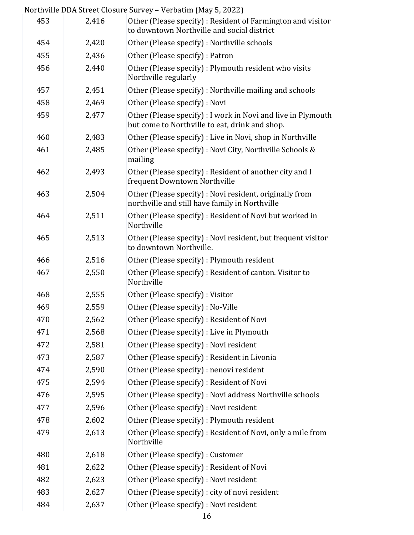|     |       | <u> NUI LIIVING DDA SU GCL GIUSULE SUI VEY – VELDALINI (MAY 9, 2022)</u>                                       |
|-----|-------|----------------------------------------------------------------------------------------------------------------|
| 453 | 2,416 | Other (Please specify): Resident of Farmington and visitor<br>to downtown Northville and social district       |
| 454 | 2,420 | Other (Please specify) : Northville schools                                                                    |
| 455 | 2,436 | Other (Please specify) : Patron                                                                                |
| 456 | 2,440 | Other (Please specify) : Plymouth resident who visits<br>Northville regularly                                  |
| 457 | 2,451 | Other (Please specify) : Northville mailing and schools                                                        |
| 458 | 2,469 | Other (Please specify) : Novi                                                                                  |
| 459 | 2,477 | Other (Please specify) : I work in Novi and live in Plymouth<br>but come to Northville to eat, drink and shop. |
| 460 | 2,483 | Other (Please specify) : Live in Novi, shop in Northville                                                      |
| 461 | 2,485 | Other (Please specify) : Novi City, Northville Schools &<br>mailing                                            |
| 462 | 2,493 | Other (Please specify) : Resident of another city and I<br>frequent Downtown Northville                        |
| 463 | 2,504 | Other (Please specify) : Novi resident, originally from<br>northville and still have family in Northville      |
| 464 | 2,511 | Other (Please specify) : Resident of Novi but worked in<br>Northville                                          |
| 465 | 2,513 | Other (Please specify) : Novi resident, but frequent visitor<br>to downtown Northville.                        |
| 466 | 2,516 | Other (Please specify) : Plymouth resident                                                                     |
| 467 | 2,550 | Other (Please specify) : Resident of canton. Visitor to<br>Northville                                          |
| 468 | 2,555 | Other (Please specify) : Visitor                                                                               |
| 469 | 2,559 | Other (Please specify) : No-Ville                                                                              |
| 470 | 2,562 | Other (Please specify) : Resident of Novi                                                                      |
| 471 | 2,568 | Other (Please specify) : Live in Plymouth                                                                      |
| 472 | 2,581 | Other (Please specify) : Novi resident                                                                         |
| 473 | 2,587 | Other (Please specify) : Resident in Livonia                                                                   |
| 474 | 2,590 | Other (Please specify) : nenovi resident                                                                       |
| 475 | 2,594 | Other (Please specify) : Resident of Novi                                                                      |
| 476 | 2,595 | Other (Please specify) : Novi address Northville schools                                                       |
| 477 | 2,596 | Other (Please specify) : Novi resident                                                                         |
| 478 | 2,602 | Other (Please specify) : Plymouth resident                                                                     |
| 479 | 2,613 | Other (Please specify): Resident of Novi, only a mile from<br>Northville                                       |
| 480 | 2,618 | Other (Please specify) : Customer                                                                              |
| 481 | 2,622 | Other (Please specify) : Resident of Novi                                                                      |
| 482 | 2,623 | Other (Please specify) : Novi resident                                                                         |
| 483 | 2,627 | Other (Please specify) : city of novi resident                                                                 |
| 484 | 2,637 | Other (Please specify) : Novi resident                                                                         |
|     |       |                                                                                                                |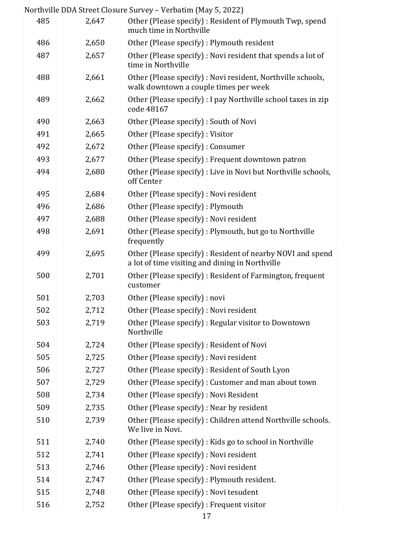|     |       | voltuville DDA Street Giosule Survey – verbatilli (May 9, 2022)                                              |
|-----|-------|--------------------------------------------------------------------------------------------------------------|
| 485 | 2,647 | Other (Please specify): Resident of Plymouth Twp, spend<br>much time in Northville                           |
| 486 | 2,650 | Other (Please specify) : Plymouth resident                                                                   |
| 487 | 2,657 | Other (Please specify) : Novi resident that spends a lot of<br>time in Northville                            |
| 488 | 2,661 | Other (Please specify) : Novi resident, Northville schools,<br>walk downtown a couple times per week         |
| 489 | 2,662 | Other (Please specify) : I pay Northville school taxes in zip<br>code 48167                                  |
| 490 | 2,663 | Other (Please specify) : South of Novi                                                                       |
| 491 | 2,665 | Other (Please specify) : Visitor                                                                             |
| 492 | 2,672 | Other (Please specify) : Consumer                                                                            |
| 493 | 2,677 | Other (Please specify) : Frequent downtown patron                                                            |
| 494 | 2,680 | Other (Please specify) : Live in Novi but Northville schools,<br>off Center                                  |
| 495 | 2,684 | Other (Please specify) : Novi resident                                                                       |
| 496 | 2,686 | Other (Please specify) : Plymouth                                                                            |
| 497 | 2,688 | Other (Please specify) : Novi resident                                                                       |
| 498 | 2,691 | Other (Please specify) : Plymouth, but go to Northville<br>frequently                                        |
| 499 | 2,695 | Other (Please specify): Resident of nearby NOVI and spend<br>a lot of time visiting and dining in Northville |
| 500 | 2,701 | Other (Please specify) : Resident of Farmington, frequent<br>customer                                        |
| 501 | 2,703 | Other (Please specify) : novi                                                                                |
| 502 | 2,712 | Other (Please specify) : Novi resident                                                                       |
| 503 | 2,719 | Other (Please specify) : Regular visitor to Downtown<br>Northville                                           |
| 504 | 2,724 | Other (Please specify) : Resident of Novi                                                                    |
| 505 | 2,725 | Other (Please specify) : Novi resident                                                                       |
| 506 | 2,727 | Other (Please specify) : Resident of South Lyon                                                              |
| 507 | 2,729 | Other (Please specify) : Customer and man about town                                                         |
| 508 | 2,734 | Other (Please specify) : Novi Resident                                                                       |
| 509 | 2,735 | Other (Please specify) : Near by resident                                                                    |
| 510 | 2,739 | Other (Please specify) : Children attend Northville schools.<br>We live in Novi.                             |
| 511 | 2,740 | Other (Please specify) : Kids go to school in Northville                                                     |
| 512 | 2,741 | Other (Please specify) : Novi resident                                                                       |
| 513 | 2,746 | Other (Please specify) : Novi resident                                                                       |
| 514 | 2,747 | Other (Please specify) : Plymouth resident.                                                                  |
| 515 | 2,748 | Other (Please specify) : Novi tesudent                                                                       |
| 516 | 2,752 | Other (Please specify) : Frequent visitor                                                                    |
|     |       |                                                                                                              |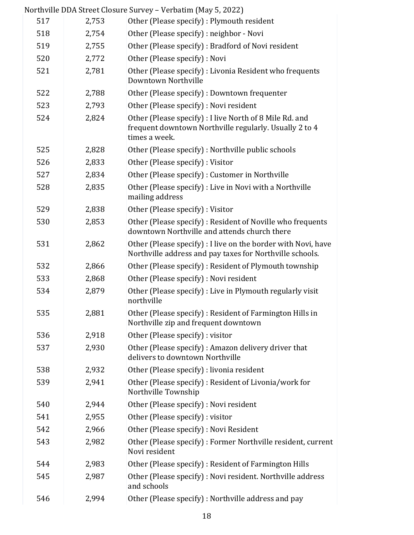|     |       | Northville DDA Street Closure Survey - Verbatim (May 5, 2022)                                                                      |
|-----|-------|------------------------------------------------------------------------------------------------------------------------------------|
| 517 | 2,753 | Other (Please specify) : Plymouth resident                                                                                         |
| 518 | 2,754 | Other (Please specify) : neighbor - Novi                                                                                           |
| 519 | 2,755 | Other (Please specify) : Bradford of Novi resident                                                                                 |
| 520 | 2,772 | Other (Please specify) : Novi                                                                                                      |
| 521 | 2,781 | Other (Please specify) : Livonia Resident who frequents<br>Downtown Northville                                                     |
| 522 | 2,788 | Other (Please specify) : Downtown frequenter                                                                                       |
| 523 | 2,793 | Other (Please specify) : Novi resident                                                                                             |
| 524 | 2,824 | Other (Please specify) : I live North of 8 Mile Rd. and<br>frequent downtown Northville regularly. Usually 2 to 4<br>times a week. |
| 525 | 2,828 | Other (Please specify) : Northville public schools                                                                                 |
| 526 | 2,833 | Other (Please specify) : Visitor                                                                                                   |
| 527 | 2,834 | Other (Please specify) : Customer in Northville                                                                                    |
| 528 | 2,835 | Other (Please specify) : Live in Novi with a Northville<br>mailing address                                                         |
| 529 | 2,838 | Other (Please specify) : Visitor                                                                                                   |
| 530 | 2,853 | Other (Please specify) : Resident of Noville who frequents<br>downtown Northville and attends church there                         |
| 531 | 2,862 | Other (Please specify) : I live on the border with Novi, have<br>Northville address and pay taxes for Northville schools.          |
| 532 | 2,866 | Other (Please specify) : Resident of Plymouth township                                                                             |
| 533 | 2,868 | Other (Please specify) : Novi resident                                                                                             |
| 534 | 2,879 | Other (Please specify) : Live in Plymouth regularly visit<br>northville                                                            |
| 535 | 2,881 | Other (Please specify) : Resident of Farmington Hills in<br>Northville zip and frequent downtown                                   |
| 536 | 2,918 | Other (Please specify) : visitor                                                                                                   |
| 537 | 2,930 | Other (Please specify) : Amazon delivery driver that<br>delivers to downtown Northville                                            |
| 538 | 2,932 | Other (Please specify) : livonia resident                                                                                          |
| 539 | 2,941 | Other (Please specify) : Resident of Livonia/work for<br>Northville Township                                                       |
| 540 | 2,944 | Other (Please specify) : Novi resident                                                                                             |
| 541 | 2,955 | Other (Please specify) : visitor                                                                                                   |
| 542 | 2,966 | Other (Please specify) : Novi Resident                                                                                             |
| 543 | 2,982 | Other (Please specify) : Former Northville resident, current<br>Novi resident                                                      |
| 544 | 2,983 | Other (Please specify) : Resident of Farmington Hills                                                                              |
| 545 | 2,987 | Other (Please specify) : Novi resident. Northville address<br>and schools                                                          |
| 546 | 2,994 | Other (Please specify) : Northville address and pay                                                                                |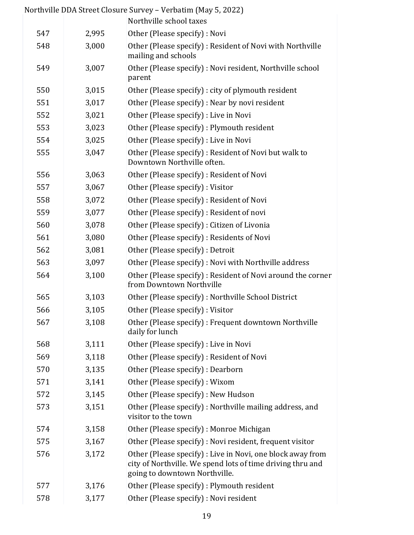|     |       | Northville DDA Street Closure Survey - Verbatim (May 5, 2022)                                                                                             |
|-----|-------|-----------------------------------------------------------------------------------------------------------------------------------------------------------|
|     |       | Northville school taxes                                                                                                                                   |
| 547 | 2,995 | Other (Please specify) : Novi                                                                                                                             |
| 548 | 3,000 | Other (Please specify) : Resident of Novi with Northville<br>mailing and schools                                                                          |
| 549 | 3,007 | Other (Please specify) : Novi resident, Northville school<br>parent                                                                                       |
| 550 | 3,015 | Other (Please specify) : city of plymouth resident                                                                                                        |
| 551 | 3,017 | Other (Please specify) : Near by novi resident                                                                                                            |
| 552 | 3,021 | Other (Please specify) : Live in Novi                                                                                                                     |
| 553 | 3,023 | Other (Please specify) : Plymouth resident                                                                                                                |
| 554 | 3,025 | Other (Please specify) : Live in Novi                                                                                                                     |
| 555 | 3,047 | Other (Please specify): Resident of Novi but walk to<br>Downtown Northville often.                                                                        |
| 556 | 3,063 | Other (Please specify) : Resident of Novi                                                                                                                 |
| 557 | 3,067 | Other (Please specify) : Visitor                                                                                                                          |
| 558 | 3,072 | Other (Please specify) : Resident of Novi                                                                                                                 |
| 559 | 3,077 | Other (Please specify) : Resident of novi                                                                                                                 |
| 560 | 3,078 | Other (Please specify) : Citizen of Livonia                                                                                                               |
| 561 | 3,080 | Other (Please specify) : Residents of Novi                                                                                                                |
| 562 | 3,081 | Other (Please specify) : Detroit                                                                                                                          |
| 563 | 3,097 | Other (Please specify) : Novi with Northville address                                                                                                     |
| 564 | 3,100 | Other (Please specify) : Resident of Novi around the corner<br>from Downtown Northville                                                                   |
| 565 | 3,103 | Other (Please specify) : Northville School District                                                                                                       |
| 566 | 3,105 | Other (Please specify) : Visitor                                                                                                                          |
| 567 | 3,108 | Other (Please specify) : Frequent downtown Northville<br>daily for lunch                                                                                  |
| 568 | 3,111 | Other (Please specify) : Live in Novi                                                                                                                     |
| 569 | 3,118 | Other (Please specify) : Resident of Novi                                                                                                                 |
| 570 | 3,135 | Other (Please specify) : Dearborn                                                                                                                         |
| 571 | 3,141 | Other (Please specify) : Wixom                                                                                                                            |
| 572 | 3,145 | Other (Please specify) : New Hudson                                                                                                                       |
| 573 | 3,151 | Other (Please specify) : Northville mailing address, and<br>visitor to the town                                                                           |
| 574 | 3,158 | Other (Please specify) : Monroe Michigan                                                                                                                  |
| 575 | 3,167 | Other (Please specify) : Novi resident, frequent visitor                                                                                                  |
| 576 | 3,172 | Other (Please specify) : Live in Novi, one block away from<br>city of Northville. We spend lots of time driving thru and<br>going to downtown Northville. |
| 577 | 3,176 | Other (Please specify) : Plymouth resident                                                                                                                |
| 578 | 3,177 | Other (Please specify) : Novi resident                                                                                                                    |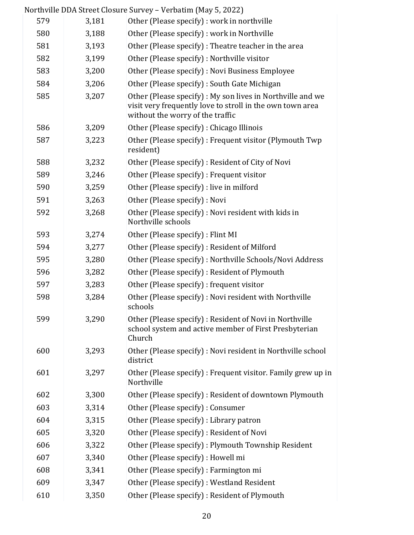|     |       | Northville DDA Street Closure Survey - Verbatim (May 5, 2022)                                                                                               |
|-----|-------|-------------------------------------------------------------------------------------------------------------------------------------------------------------|
| 579 | 3,181 | Other (Please specify) : work in northville                                                                                                                 |
| 580 | 3,188 | Other (Please specify) : work in Northville                                                                                                                 |
| 581 | 3,193 | Other (Please specify) : Theatre teacher in the area                                                                                                        |
| 582 | 3,199 | Other (Please specify) : Northville visitor                                                                                                                 |
| 583 | 3,200 | Other (Please specify) : Novi Business Employee                                                                                                             |
| 584 | 3,206 | Other (Please specify) : South Gate Michigan                                                                                                                |
| 585 | 3,207 | Other (Please specify) : My son lives in Northville and we<br>visit very frequently love to stroll in the own town area<br>without the worry of the traffic |
| 586 | 3,209 | Other (Please specify) : Chicago Illinois                                                                                                                   |
| 587 | 3,223 | Other (Please specify) : Frequent visitor (Plymouth Twp)<br>resident)                                                                                       |
| 588 | 3,232 | Other (Please specify) : Resident of City of Novi                                                                                                           |
| 589 | 3,246 | Other (Please specify) : Frequent visitor                                                                                                                   |
| 590 | 3,259 | Other (Please specify) : live in milford                                                                                                                    |
| 591 | 3,263 | Other (Please specify) : Novi                                                                                                                               |
| 592 | 3,268 | Other (Please specify) : Novi resident with kids in<br>Northville schools                                                                                   |
| 593 | 3,274 | Other (Please specify) : Flint MI                                                                                                                           |
| 594 | 3,277 | Other (Please specify) : Resident of Milford                                                                                                                |
| 595 | 3,280 | Other (Please specify) : Northville Schools/Novi Address                                                                                                    |
| 596 | 3,282 | Other (Please specify) : Resident of Plymouth                                                                                                               |
| 597 | 3,283 | Other (Please specify) : frequent visitor                                                                                                                   |
| 598 | 3,284 | Other (Please specify) : Novi resident with Northville<br>schools                                                                                           |
| 599 | 3,290 | Other (Please specify) : Resident of Novi in Northville<br>school system and active member of First Presbyterian<br>Church                                  |
| 600 | 3,293 | Other (Please specify) : Novi resident in Northville school<br>district                                                                                     |
| 601 | 3,297 | Other (Please specify) : Frequent visitor. Family grew up in<br>Northville                                                                                  |
| 602 | 3,300 | Other (Please specify) : Resident of downtown Plymouth                                                                                                      |
| 603 | 3,314 | Other (Please specify) : Consumer                                                                                                                           |
| 604 | 3,315 | Other (Please specify) : Library patron                                                                                                                     |
| 605 | 3,320 | Other (Please specify) : Resident of Novi                                                                                                                   |
| 606 | 3,322 | Other (Please specify) : Plymouth Township Resident                                                                                                         |
| 607 | 3,340 | Other (Please specify) : Howell mi                                                                                                                          |
| 608 | 3,341 | Other (Please specify) : Farmington mi                                                                                                                      |
| 609 | 3,347 | Other (Please specify) : Westland Resident                                                                                                                  |
| 610 | 3,350 | Other (Please specify) : Resident of Plymouth                                                                                                               |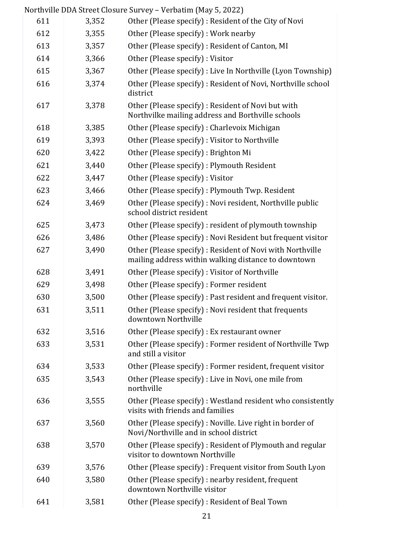|     |       | Northville DDA Street Closure Survey - Verbatim (May 5, 2022)                                                    |
|-----|-------|------------------------------------------------------------------------------------------------------------------|
| 611 | 3,352 | Other (Please specify) : Resident of the City of Novi                                                            |
| 612 | 3,355 | Other (Please specify) : Work nearby                                                                             |
| 613 | 3,357 | Other (Please specify) : Resident of Canton, MI                                                                  |
| 614 | 3,366 | Other (Please specify) : Visitor                                                                                 |
| 615 | 3,367 | Other (Please specify) : Live In Northville (Lyon Township)                                                      |
| 616 | 3,374 | Other (Please specify): Resident of Novi, Northville school<br>district                                          |
| 617 | 3,378 | Other (Please specify) : Resident of Novi but with<br>Northvilke mailing address and Borthville schools          |
| 618 | 3,385 | Other (Please specify) : Charlevoix Michigan                                                                     |
| 619 | 3,393 | Other (Please specify) : Visitor to Northville                                                                   |
| 620 | 3,422 | Other (Please specify) : Brighton Mi                                                                             |
| 621 | 3,440 | Other (Please specify) : Plymouth Resident                                                                       |
| 622 | 3,447 | Other (Please specify) : Visitor                                                                                 |
| 623 | 3,466 | Other (Please specify) : Plymouth Twp. Resident                                                                  |
| 624 | 3,469 | Other (Please specify) : Novi resident, Northville public<br>school district resident                            |
| 625 | 3,473 | Other (Please specify) : resident of plymouth township                                                           |
| 626 | 3,486 | Other (Please specify) : Novi Resident but frequent visitor                                                      |
| 627 | 3,490 | Other (Please specify) : Resident of Novi with Northville<br>mailing address within walking distance to downtown |
| 628 | 3,491 | Other (Please specify) : Visitor of Northville                                                                   |
| 629 | 3,498 | Other (Please specify) : Former resident                                                                         |
| 630 | 3,500 | Other (Please specify) : Past resident and frequent visitor.                                                     |
| 631 | 3,511 | Other (Please specify) : Novi resident that frequents<br>downtown Northville                                     |
| 632 | 3,516 | Other (Please specify) : Ex restaurant owner                                                                     |
| 633 | 3,531 | Other (Please specify) : Former resident of Northville Twp<br>and still a visitor                                |
| 634 | 3,533 | Other (Please specify) : Former resident, frequent visitor                                                       |
| 635 | 3,543 | Other (Please specify) : Live in Novi, one mile from<br>northville                                               |
| 636 | 3,555 | Other (Please specify): Westland resident who consistently<br>visits with friends and families                   |
| 637 | 3,560 | Other (Please specify) : Noville. Live right in border of<br>Novi/Northville and in school district              |
| 638 | 3,570 | Other (Please specify): Resident of Plymouth and regular<br>visitor to downtown Northville                       |
| 639 | 3,576 | Other (Please specify) : Frequent visitor from South Lyon                                                        |
| 640 | 3,580 | Other (Please specify) : nearby resident, frequent<br>downtown Northville visitor                                |
| 641 | 3,581 | Other (Please specify) : Resident of Beal Town                                                                   |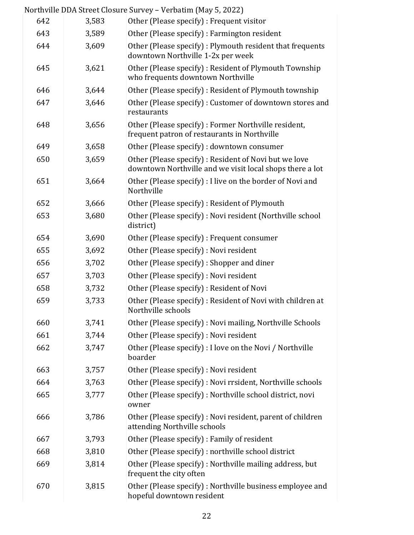|     |       | Northville DDA Street Closure Survey - Verbatim (May 5, 2022)                                                     |
|-----|-------|-------------------------------------------------------------------------------------------------------------------|
| 642 | 3,583 | Other (Please specify) : Frequent visitor                                                                         |
| 643 | 3,589 | Other (Please specify) : Farmington resident                                                                      |
| 644 | 3,609 | Other (Please specify) : Plymouth resident that frequents<br>downtown Northville 1-2x per week                    |
| 645 | 3,621 | Other (Please specify): Resident of Plymouth Township<br>who frequents downtown Northville                        |
| 646 | 3,644 | Other (Please specify) : Resident of Plymouth township                                                            |
| 647 | 3,646 | Other (Please specify) : Customer of downtown stores and<br>restaurants                                           |
| 648 | 3,656 | Other (Please specify) : Former Northville resident,<br>frequent patron of restaurants in Northville              |
| 649 | 3,658 | Other (Please specify) : downtown consumer                                                                        |
| 650 | 3,659 | Other (Please specify) : Resident of Novi but we love<br>downtown Northville and we visit local shops there a lot |
| 651 | 3,664 | Other (Please specify) : I live on the border of Novi and<br>Northville                                           |
| 652 | 3,666 | Other (Please specify) : Resident of Plymouth                                                                     |
| 653 | 3,680 | Other (Please specify) : Novi resident (Northville school<br>district)                                            |
| 654 | 3,690 | Other (Please specify) : Frequent consumer                                                                        |
| 655 | 3,692 | Other (Please specify) : Novi resident                                                                            |
| 656 | 3,702 | Other (Please specify) : Shopper and diner                                                                        |
| 657 | 3,703 | Other (Please specify) : Novi resident                                                                            |
| 658 | 3,732 | Other (Please specify) : Resident of Novi                                                                         |
| 659 | 3,733 | Other (Please specify) : Resident of Novi with children at<br>Northville schools                                  |
| 660 | 3,741 | Other (Please specify) : Novi mailing, Northville Schools                                                         |
| 661 | 3,744 | Other (Please specify) : Novi resident                                                                            |
| 662 | 3,747 | Other (Please specify) : I love on the Novi / Northville<br>boarder                                               |
| 663 | 3,757 | Other (Please specify) : Novi resident                                                                            |
| 664 | 3,763 | Other (Please specify) : Novi rrsident, Northville schools                                                        |
| 665 | 3,777 | Other (Please specify) : Northville school district, novi<br>owner                                                |
| 666 | 3,786 | Other (Please specify) : Novi resident, parent of children<br>attending Northville schools                        |
| 667 | 3,793 | Other (Please specify) : Family of resident                                                                       |
| 668 | 3,810 | Other (Please specify) : northville school district                                                               |
| 669 | 3,814 | Other (Please specify) : Northville mailing address, but<br>frequent the city often                               |
| 670 | 3,815 | Other (Please specify) : Northville business employee and<br>hopeful downtown resident                            |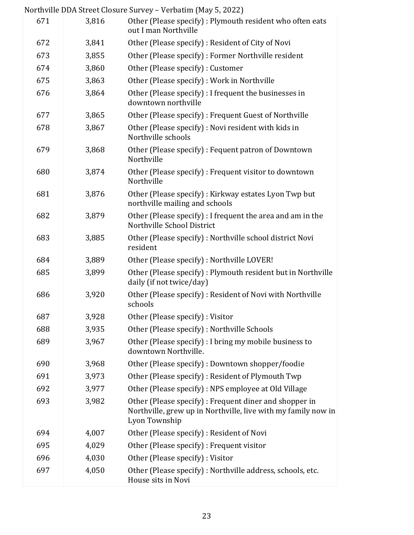|     |       | VOLUIVING DDA SU GGC GIOSULG SUI VGY – VGLDAUIN (MAY 9, 2022)                                                                            |
|-----|-------|------------------------------------------------------------------------------------------------------------------------------------------|
| 671 | 3,816 | Other (Please specify) : Plymouth resident who often eats<br>out I man Northville                                                        |
| 672 | 3,841 | Other (Please specify) : Resident of City of Novi                                                                                        |
| 673 | 3,855 | Other (Please specify) : Former Northville resident                                                                                      |
| 674 | 3,860 | Other (Please specify) : Customer                                                                                                        |
| 675 | 3,863 | Other (Please specify) : Work in Northville                                                                                              |
| 676 | 3,864 | Other (Please specify) : I frequent the businesses in<br>downtown northville                                                             |
| 677 | 3,865 | Other (Please specify) : Frequent Guest of Northville                                                                                    |
| 678 | 3,867 | Other (Please specify) : Novi resident with kids in<br>Northville schools                                                                |
| 679 | 3,868 | Other (Please specify) : Fequent patron of Downtown<br>Northville                                                                        |
| 680 | 3,874 | Other (Please specify) : Frequent visitor to downtown<br>Northville                                                                      |
| 681 | 3,876 | Other (Please specify) : Kirkway estates Lyon Twp but<br>northville mailing and schools                                                  |
| 682 | 3,879 | Other (Please specify) : I frequent the area and am in the<br>Northville School District                                                 |
| 683 | 3,885 | Other (Please specify) : Northville school district Novi<br>resident                                                                     |
| 684 | 3,889 | Other (Please specify) : Northville LOVER!                                                                                               |
| 685 | 3,899 | Other (Please specify) : Plymouth resident but in Northville<br>daily (if not twice/day)                                                 |
| 686 | 3,920 | Other (Please specify) : Resident of Novi with Northville<br>schools                                                                     |
| 687 | 3,928 | Other (Please specify) : Visitor                                                                                                         |
| 688 | 3,935 | Other (Please specify) : Northville Schools                                                                                              |
| 689 | 3,967 | Other (Please specify) : I bring my mobile business to<br>downtown Northville.                                                           |
| 690 | 3,968 | Other (Please specify) : Downtown shopper/foodie                                                                                         |
| 691 | 3,973 | Other (Please specify) : Resident of Plymouth Twp                                                                                        |
| 692 | 3,977 | Other (Please specify) : NPS employee at Old Village                                                                                     |
| 693 | 3,982 | Other (Please specify) : Frequent diner and shopper in<br>Northville, grew up in Northville, live with my family now in<br>Lyon Township |
| 694 | 4,007 | Other (Please specify) : Resident of Novi                                                                                                |
| 695 | 4,029 | Other (Please specify) : Frequent visitor                                                                                                |
| 696 | 4,030 | Other (Please specify) : Visitor                                                                                                         |
| 697 | 4,050 | Other (Please specify) : Northville address, schools, etc.<br>House sits in Novi                                                         |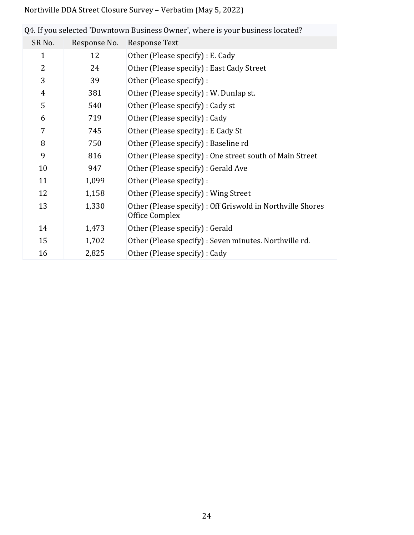| Q4. If you selected 'Downtown Business Owner', where is your business located? |              |                                                                              |
|--------------------------------------------------------------------------------|--------------|------------------------------------------------------------------------------|
| SR <sub>No.</sub>                                                              | Response No. | <b>Response Text</b>                                                         |
| $\mathbf{1}$                                                                   | 12           | Other (Please specify) : E. Cady                                             |
| 2                                                                              | 24           | Other (Please specify) : East Cady Street                                    |
| 3                                                                              | 39           | Other (Please specify) :                                                     |
| $\overline{4}$                                                                 | 381          | Other (Please specify) : W. Dunlap st.                                       |
| 5                                                                              | 540          | Other (Please specify) : Cady st                                             |
| 6                                                                              | 719          | Other (Please specify) : Cady                                                |
| 7                                                                              | 745          | Other (Please specify) : E Cady St                                           |
| 8                                                                              | 750          | Other (Please specify) : Baseline rd                                         |
| 9                                                                              | 816          | Other (Please specify) : One street south of Main Street                     |
| 10                                                                             | 947          | Other (Please specify) : Gerald Ave                                          |
| 11                                                                             | 1,099        | Other (Please specify) :                                                     |
| 12                                                                             | 1,158        | Other (Please specify) : Wing Street                                         |
| 13                                                                             | 1,330        | Other (Please specify) : Off Griswold in Northville Shores<br>Office Complex |
| 14                                                                             | 1,473        | Other (Please specify) : Gerald                                              |
| 15                                                                             | 1,702        | Other (Please specify) : Seven minutes. Northville rd.                       |
| 16                                                                             | 2,825        | Other (Please specify) : Cady                                                |

Ξ Q4. If you selected 'Downtown Business Owner', where is your business located?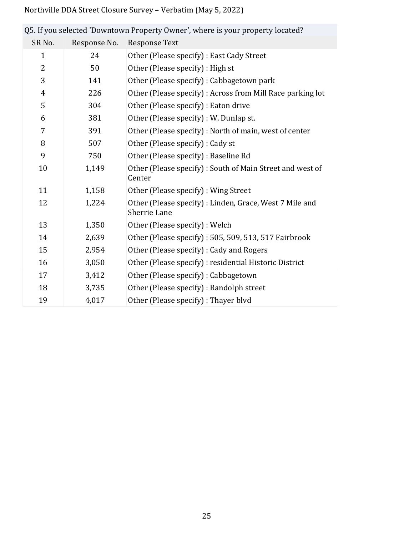| Q5. If you selected 'Downtown Property Owner', where is your property located? |              |                                                                         |  |
|--------------------------------------------------------------------------------|--------------|-------------------------------------------------------------------------|--|
| SR <sub>No.</sub>                                                              | Response No. | <b>Response Text</b>                                                    |  |
| $\mathbf{1}$                                                                   | 24           | Other (Please specify) : East Cady Street                               |  |
| 2                                                                              | 50           | Other (Please specify) : High st                                        |  |
| 3                                                                              | 141          | Other (Please specify) : Cabbagetown park                               |  |
| $\overline{4}$                                                                 | 226          | Other (Please specify) : Across from Mill Race parking lot              |  |
| 5                                                                              | 304          | Other (Please specify) : Eaton drive                                    |  |
| 6                                                                              | 381          | Other (Please specify) : W. Dunlap st.                                  |  |
| $\overline{7}$                                                                 | 391          | Other (Please specify) : North of main, west of center                  |  |
| 8                                                                              | 507          | Other (Please specify) : Cady st                                        |  |
| 9                                                                              | 750          | Other (Please specify) : Baseline Rd                                    |  |
| 10                                                                             | 1,149        | Other (Please specify): South of Main Street and west of<br>Center      |  |
| 11                                                                             | 1,158        | Other (Please specify) : Wing Street                                    |  |
| 12                                                                             | 1,224        | Other (Please specify) : Linden, Grace, West 7 Mile and<br>Sherrie Lane |  |
| 13                                                                             | 1,350        | Other (Please specify) : Welch                                          |  |
| 14                                                                             | 2,639        | Other (Please specify): 505, 509, 513, 517 Fairbrook                    |  |
| 15                                                                             | 2,954        | Other (Please specify) : Cady and Rogers                                |  |
| 16                                                                             | 3,050        | Other (Please specify) : residential Historic District                  |  |
| 17                                                                             | 3,412        | Other (Please specify) : Cabbagetown                                    |  |
| 18                                                                             | 3,735        | Other (Please specify) : Randolph street                                |  |
| 19                                                                             | 4,017        | Other (Please specify) : Thayer blvd                                    |  |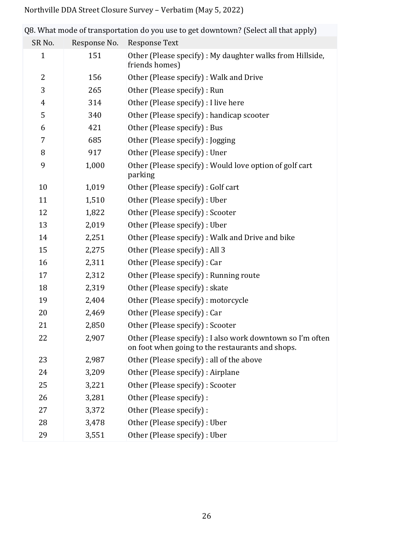| Q8. What mode of transportation do you use to get downtown? (Select all that apply) |              |                                                                                                                |  |
|-------------------------------------------------------------------------------------|--------------|----------------------------------------------------------------------------------------------------------------|--|
| SR <sub>No.</sub>                                                                   | Response No. | <b>Response Text</b>                                                                                           |  |
| $\mathbf{1}$                                                                        | 151          | Other (Please specify) : My daughter walks from Hillside,<br>friends homes)                                    |  |
| $\overline{2}$                                                                      | 156          | Other (Please specify) : Walk and Drive                                                                        |  |
| 3                                                                                   | 265          | Other (Please specify) : Run                                                                                   |  |
| $\overline{4}$                                                                      | 314          | Other (Please specify) : I live here                                                                           |  |
| 5                                                                                   | 340          | Other (Please specify) : handicap scooter                                                                      |  |
| 6                                                                                   | 421          | Other (Please specify) : Bus                                                                                   |  |
| 7                                                                                   | 685          | Other (Please specify) : Jogging                                                                               |  |
| 8                                                                                   | 917          | Other (Please specify) : Uner                                                                                  |  |
| 9                                                                                   | 1,000        | Other (Please specify): Would love option of golf cart<br>parking                                              |  |
| 10                                                                                  | 1,019        | Other (Please specify) : Golf cart                                                                             |  |
| 11                                                                                  | 1,510        | Other (Please specify) : Uber                                                                                  |  |
| 12                                                                                  | 1,822        | Other (Please specify) : Scooter                                                                               |  |
| 13                                                                                  | 2,019        | Other (Please specify) : Uber                                                                                  |  |
| 14                                                                                  | 2,251        | Other (Please specify) : Walk and Drive and bike                                                               |  |
| 15                                                                                  | 2,275        | Other (Please specify) : All 3                                                                                 |  |
| 16                                                                                  | 2,311        | Other (Please specify) : Car                                                                                   |  |
| 17                                                                                  | 2,312        | Other (Please specify) : Running route                                                                         |  |
| 18                                                                                  | 2,319        | Other (Please specify) : skate                                                                                 |  |
| 19                                                                                  | 2,404        | Other (Please specify) : motorcycle                                                                            |  |
| 20                                                                                  | 2,469        | Other (Please specify) : Car                                                                                   |  |
| 21                                                                                  | 2,850        | Other (Please specify) : Scooter                                                                               |  |
| 22                                                                                  | 2,907        | Other (Please specify) : I also work downtown so I'm often<br>on foot when going to the restaurants and shops. |  |
| 23                                                                                  | 2,987        | Other (Please specify) : all of the above                                                                      |  |
| 24                                                                                  | 3,209        | Other (Please specify) : Airplane                                                                              |  |
| 25                                                                                  | 3,221        | Other (Please specify) : Scooter                                                                               |  |
| 26                                                                                  | 3,281        | Other (Please specify) :                                                                                       |  |
| 27                                                                                  | 3,372        | Other (Please specify) :                                                                                       |  |
| 28                                                                                  | 3,478        | Other (Please specify) : Uber                                                                                  |  |
| 29                                                                                  | 3,551        | Other (Please specify) : Uber                                                                                  |  |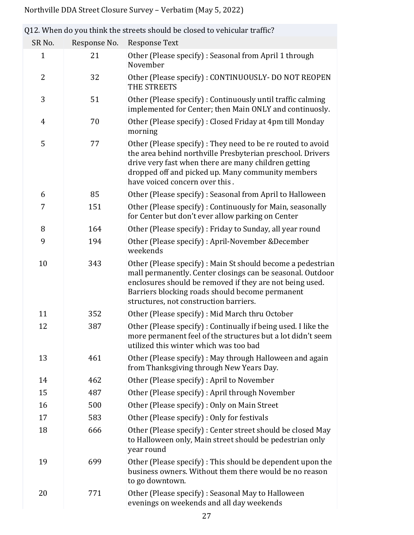|                   |              | Q12. When do you think the streets should be closed to venicular traffic?                                                                                                                                                                                                          |
|-------------------|--------------|------------------------------------------------------------------------------------------------------------------------------------------------------------------------------------------------------------------------------------------------------------------------------------|
| SR <sub>No.</sub> | Response No. | <b>Response Text</b>                                                                                                                                                                                                                                                               |
| $\mathbf{1}$      | 21           | Other (Please specify) : Seasonal from April 1 through<br>November                                                                                                                                                                                                                 |
| $\overline{2}$    | 32           | Other (Please specify) : CONTINUOUSLY- DO NOT REOPEN<br>THE STREETS                                                                                                                                                                                                                |
| 3                 | 51           | Other (Please specify) : Continuously until traffic calming<br>implemented for Center; then Main ONLY and continuosly.                                                                                                                                                             |
| $\overline{4}$    | 70           | Other (Please specify) : Closed Friday at 4pm till Monday<br>morning                                                                                                                                                                                                               |
| 5                 | 77           | Other (Please specify) : They need to be re routed to avoid<br>the area behind northville Presbyterian preschool. Drivers<br>drive very fast when there are many children getting<br>dropped off and picked up. Many community members<br>have voiced concern over this.           |
| 6                 | 85           | Other (Please specify) : Seasonal from April to Halloween                                                                                                                                                                                                                          |
| 7                 | 151          | Other (Please specify) : Continuously for Main, seasonally<br>for Center but don't ever allow parking on Center                                                                                                                                                                    |
| 8                 | 164          | Other (Please specify) : Friday to Sunday, all year round                                                                                                                                                                                                                          |
| 9                 | 194          | Other (Please specify) : April-November & December<br>weekends                                                                                                                                                                                                                     |
| 10                | 343          | Other (Please specify) : Main St should become a pedestrian<br>mall permanently. Center closings can be seasonal. Outdoor<br>enclosures should be removed if they are not being used.<br>Barriers blocking roads should become permanent<br>structures, not construction barriers. |
| 11                | 352          | Other (Please specify) : Mid March thru October                                                                                                                                                                                                                                    |
| 12                | 387          | Other (Please specify) : Continually if being used. I like the<br>more permanent feel of the structures but a lot didn't seem<br>utilized this winter which was too bad                                                                                                            |
| 13                | 461          | Other (Please specify) : May through Halloween and again<br>from Thanksgiving through New Years Day.                                                                                                                                                                               |
| 14                | 462          | Other (Please specify) : April to November                                                                                                                                                                                                                                         |
| 15                | 487          | Other (Please specify) : April through November                                                                                                                                                                                                                                    |
| 16                | 500          | Other (Please specify) : Only on Main Street                                                                                                                                                                                                                                       |
| 17                | 583          | Other (Please specify) : Only for festivals                                                                                                                                                                                                                                        |
| 18                | 666          | Other (Please specify) : Center street should be closed May<br>to Halloween only, Main street should be pedestrian only<br>year round                                                                                                                                              |
| 19                | 699          | Other (Please specify): This should be dependent upon the<br>business owners. Without them there would be no reason<br>to go downtown.                                                                                                                                             |
| 20                | 771          | Other (Please specify) : Seasonal May to Halloween<br>evenings on weekends and all day weekends                                                                                                                                                                                    |

Q12. When do you think the streets should be closed to vehicular traffic?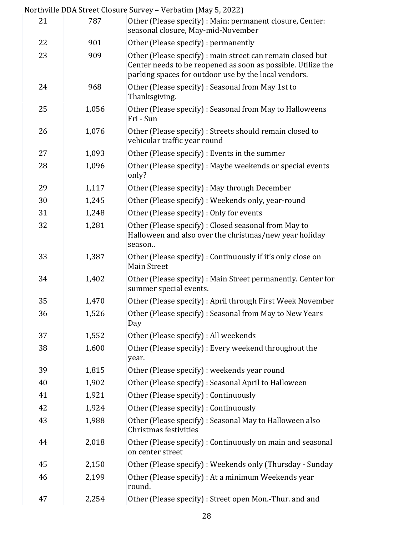| Northville DDA Street Closure Survey - Verbatim (May 5, 2022) |  |  |
|---------------------------------------------------------------|--|--|
|---------------------------------------------------------------|--|--|

|    |       | $\frac{1}{2}$ of the mass succet closure survey $\frac{1}{2}$ verbathing may b, 2022 f                                                                                             |
|----|-------|------------------------------------------------------------------------------------------------------------------------------------------------------------------------------------|
| 21 | 787   | Other (Please specify) : Main: permanent closure, Center:<br>seasonal closure, May-mid-November                                                                                    |
| 22 | 901   | Other (Please specify) : permanently                                                                                                                                               |
| 23 | 909   | Other (Please specify) : main street can remain closed but<br>Center needs to be reopened as soon as possible. Utilize the<br>parking spaces for outdoor use by the local vendors. |
| 24 | 968   | Other (Please specify) : Seasonal from May 1st to<br>Thanksgiving.                                                                                                                 |
| 25 | 1,056 | Other (Please specify) : Seasonal from May to Halloweens<br>Fri - Sun                                                                                                              |
| 26 | 1,076 | Other (Please specify) : Streets should remain closed to<br>vehicular traffic year round                                                                                           |
| 27 | 1,093 | Other (Please specify) : Events in the summer                                                                                                                                      |
| 28 | 1,096 | Other (Please specify) : Maybe weekends or special events<br>only?                                                                                                                 |
| 29 | 1,117 | Other (Please specify) : May through December                                                                                                                                      |
| 30 | 1,245 | Other (Please specify) : Weekends only, year-round                                                                                                                                 |
| 31 | 1,248 | Other (Please specify) : Only for events                                                                                                                                           |
| 32 | 1,281 | Other (Please specify) : Closed seasonal from May to<br>Halloween and also over the christmas/new year holiday<br>season                                                           |
| 33 | 1,387 | Other (Please specify) : Continuously if it's only close on<br><b>Main Street</b>                                                                                                  |
| 34 | 1,402 | Other (Please specify) : Main Street permanently. Center for<br>summer special events.                                                                                             |
| 35 | 1,470 | Other (Please specify) : April through First Week November                                                                                                                         |
| 36 | 1,526 | Other (Please specify) : Seasonal from May to New Years<br>Day                                                                                                                     |
| 37 | 1,552 | Other (Please specify) : All weekends                                                                                                                                              |
| 38 | 1,600 | Other (Please specify) : Every weekend throughout the<br>year.                                                                                                                     |
| 39 | 1,815 | Other (Please specify) : weekends year round                                                                                                                                       |
| 40 | 1,902 | Other (Please specify) : Seasonal April to Halloween                                                                                                                               |
| 41 | 1,921 | Other (Please specify) : Continuously                                                                                                                                              |
| 42 | 1,924 | Other (Please specify) : Continuously                                                                                                                                              |
| 43 | 1,988 | Other (Please specify) : Seasonal May to Halloween also<br>Christmas festivities                                                                                                   |
| 44 | 2,018 | Other (Please specify) : Continuously on main and seasonal<br>on center street                                                                                                     |
| 45 | 2,150 | Other (Please specify): Weekends only (Thursday - Sunday                                                                                                                           |
| 46 | 2,199 | Other (Please specify) : At a minimum Weekends year<br>round.                                                                                                                      |
| 47 | 2,254 | Other (Please specify) : Street open Mon.-Thur. and and                                                                                                                            |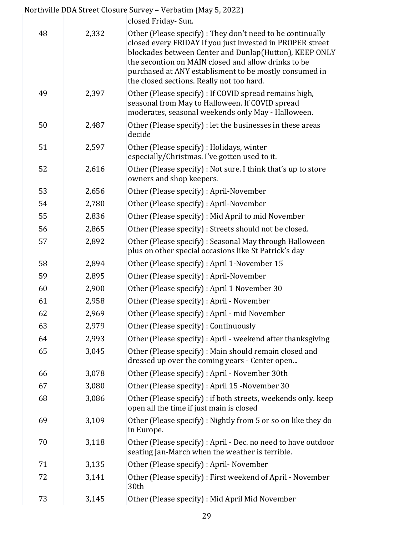#### Northville DDA Street Closure Survey – Verbatim (May 5, 2022) closed Friday- Sun. 48 2,332 Other (Please specify) : They don't need to be continually closed every FRIDAY if you just invested in PROPER street blockades between Center and Dunlap(Hutton), KEEP ONLY the secontion on MAIN closed and allow drinks to be purchased at ANY establisment to be mostly consumed in the closed sections. Really not too hard. 49 2,397 Other (Please specify) : If COVID spread remains high, seasonal from May to Halloween. If COVID spread moderates, seasonal weekends only May - Halloween. 50 2,487 Other (Please specify) : let the businesses in these areas decide 51 2,597 Other (Please specify) : Holidays, winter especially/Christmas. I've gotten used to it. 52 2,616 Other (Please specify) : Not sure. I think that's up to store owners and shop keepers. 53 2,656 Other (Please specify) : April-November 54 2,780 Other (Please specify) : April-November 55 2,836 Other (Please specify) : Mid April to mid November 56 2,865 Other (Please specify) : Streets should not be closed. 57 2,892 Other (Please specify) : Seasonal May through Halloween plus on other special occasions like St Patrick's day 58 2,894 Other (Please specify) : April 1-November 15 59 2,895 Other (Please specify) : April-November 60 2,900 Other (Please specify) : April 1 November 30 61 2,958 Other (Please specify) : April - November 62 2,969 Other (Please specify) : April - mid November 63 2,979 Other (Please specify) : Continuously 64 2,993 Other (Please specify) : April - weekend after thanksgiving 65 3,045 Other (Please specify) : Main should remain closed and dressed up over the coming years - Center open... 66 3,078 Other (Please specify) : April - November 30th 67 3,080 Other (Please specify) : April 15 -November 30 68 3,086 Other (Please specify) : if both streets, weekends only. keep open all the time if just main is closed 69 3,109 Other (Please specify) : Nightly from 5 or so on like they do in Europe. 70 3,118 Other (Please specify) : April - Dec. no need to have outdoor seating Jan-March when the weather is terrible. 71 3,135 Other (Please specify) : April- November 72 3,141 Other (Please specify) : First weekend of April - November 30th 73 3,145 Other (Please specify) : Mid April Mid November